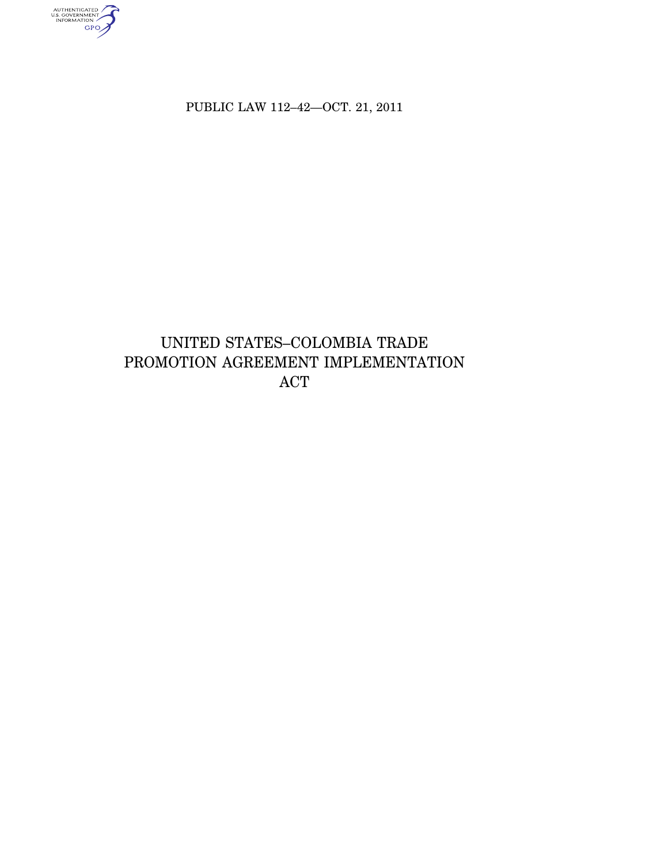PUBLIC LAW 112–42—OCT. 21, 2011

authenticated<br>u.s. government<br>information<br>GPO

# UNITED STATES–COLOMBIA TRADE PROMOTION AGREEMENT IMPLEMENTATION ACT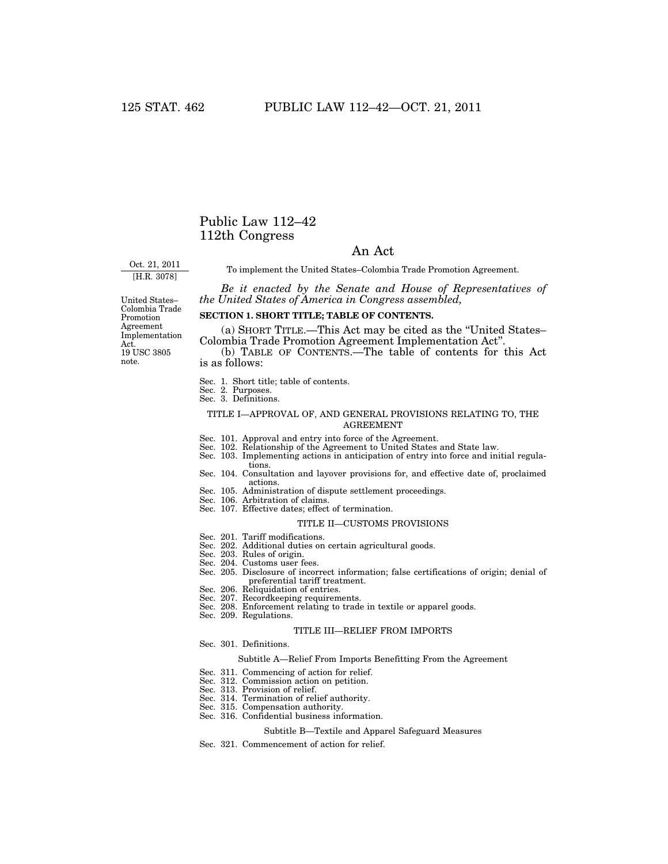## Public Law 112–42 112th Congress

## An Act

Oct. 21, 2011 [H.R. 3078]

To implement the United States–Colombia Trade Promotion Agreement.

*Be it enacted by the Senate and House of Representatives of the United States of America in Congress assembled,* 

United States– Colombia Trade Promotion Agreement Implementation Act. 19 USC 3805 note.

## **SECTION 1. SHORT TITLE; TABLE OF CONTENTS.**

(a) SHORT TITLE.—This Act may be cited as the ''United States– Colombia Trade Promotion Agreement Implementation Act''.

(b) TABLE OF CONTENTS.—The table of contents for this Act is as follows:

Sec. 1. Short title; table of contents.

Sec. 2. Purposes.

## Sec. 3. Definitions.

#### TITLE I—APPROVAL OF, AND GENERAL PROVISIONS RELATING TO, THE AGREEMENT

- Sec. 101. Approval and entry into force of the Agreement.
- Sec. 102. Relationship of the Agreement to United States and State law.
- Sec. 103. Implementing actions in anticipation of entry into force and initial regulations.
- Sec. 104. Consultation and layover provisions for, and effective date of, proclaimed actions.
- Sec. 105. Administration of dispute settlement proceedings.
- Sec. 106. Arbitration of claims.
- Sec. 107. Effective dates; effect of termination.

#### TITLE II—CUSTOMS PROVISIONS

- Sec. 201. Tariff modifications.
- Sec. 202. Additional duties on certain agricultural goods.
- Sec. 203. Rules of origin.
- Sec. 204. Customs user fees.
- Sec. 205. Disclosure of incorrect information; false certifications of origin; denial of preferential tariff treatment.
	- Sec. 206. Reliquidation of entries.
	- Sec. 207. Recordkeeping requirements.
- Sec. 208. Enforcement relating to trade in textile or apparel goods.
	- Sec. 209. Regulations.

#### TITLE III—RELIEF FROM IMPORTS

Sec. 301. Definitions.

#### Subtitle A—Relief From Imports Benefitting From the Agreement

- Sec. 311. Commencing of action for relief.
- Sec. 312. Commission action on petition.
- Sec. 313. Provision of relief.
- Sec. 314. Termination of relief authority.
- Sec. 315. Compensation authority.
- Sec. 316. Confidential business information.

### Subtitle B—Textile and Apparel Safeguard Measures

Sec. 321. Commencement of action for relief.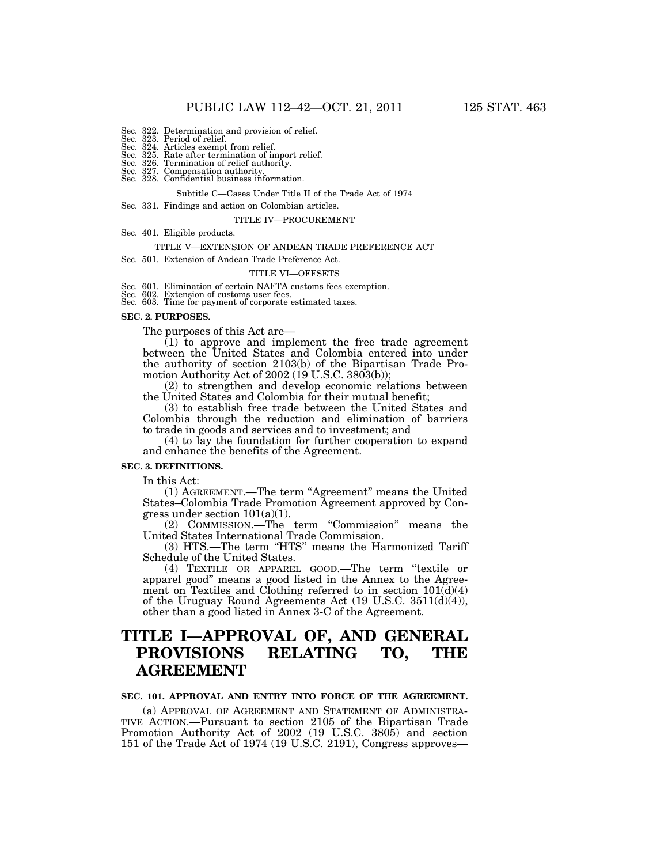- Sec. 322. Determination and provision of relief. Sec. 323. Period of relief. Sec. 324. Articles exempt from relief.
- 
- 
- Sec. 325. Rate after termination of import relief. Sec. 326. Termination of relief authority.
- Sec. 327. Compensation authority. Sec. 328. Confidential business information.
	-

Subtitle C—Cases Under Title II of the Trade Act of 1974

Sec. 331. Findings and action on Colombian articles.

#### TITLE IV—PROCUREMENT

Sec. 401. Eligible products.

#### TITLE V—EXTENSION OF ANDEAN TRADE PREFERENCE ACT

Sec. 501. Extension of Andean Trade Preference Act.

#### TITLE VI—OFFSETS

Sec. 601. Elimination of certain NAFTA customs fees exemption. Sec. 602. Extension of customs user fees. Sec. 603. Time for payment of corporate estimated taxes.

#### **SEC. 2. PURPOSES.**

The purposes of this Act are—

 $(1)$  to approve and implement the free trade agreement between the United States and Colombia entered into under the authority of section 2103(b) of the Bipartisan Trade Promotion Authority Act of 2002 (19 U.S.C. 3803(b));

(2) to strengthen and develop economic relations between the United States and Colombia for their mutual benefit;

(3) to establish free trade between the United States and Colombia through the reduction and elimination of barriers to trade in goods and services and to investment; and

(4) to lay the foundation for further cooperation to expand and enhance the benefits of the Agreement.

### **SEC. 3. DEFINITIONS.**

In this Act:

(1) AGREEMENT.—The term "Agreement" means the United States–Colombia Trade Promotion Agreement approved by Congress under section 101(a)(1).

(2) COMMISSION.—The term ''Commission'' means the United States International Trade Commission.

(3) HTS.-The term "HTS" means the Harmonized Tariff Schedule of the United States.

(4) TEXTILE OR APPAREL GOOD.—The term ''textile or apparel good'' means a good listed in the Annex to the Agreement on Textiles and Clothing referred to in section  $101(\bar{d})(4)$ of the Uruguay Round Agreements Act  $(19 \text{ U.S.C. } 3511\text{ (d)}(4))$ , other than a good listed in Annex 3-C of the Agreement.

# **TITLE I—APPROVAL OF, AND GENERAL PROVISIONS RELATING TO, THE AGREEMENT**

#### **SEC. 101. APPROVAL AND ENTRY INTO FORCE OF THE AGREEMENT.**

(a) APPROVAL OF AGREEMENT AND STATEMENT OF ADMINISTRA-TIVE ACTION.—Pursuant to section 2105 of the Bipartisan Trade Promotion Authority Act of 2002 (19 U.S.C. 3805) and section 151 of the Trade Act of 1974 (19 U.S.C. 2191), Congress approves—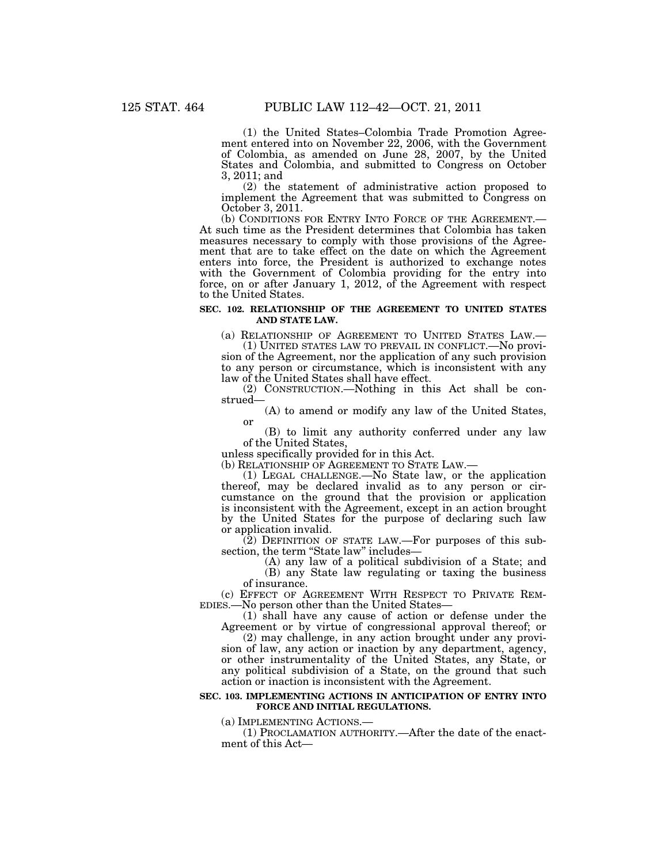(1) the United States–Colombia Trade Promotion Agreement entered into on November 22, 2006, with the Government of Colombia, as amended on June 28, 2007, by the United States and Colombia, and submitted to Congress on October 3, 2011; and

(2) the statement of administrative action proposed to implement the Agreement that was submitted to Congress on October 3, 2011.<br>(b) CONDITIONS FOR ENTRY INTO FORCE OF THE AGREEMENT.—

At such time as the President determines that Colombia has taken measures necessary to comply with those provisions of the Agreement that are to take effect on the date on which the Agreement enters into force, the President is authorized to exchange notes with the Government of Colombia providing for the entry into force, on or after January 1, 2012, of the Agreement with respect to the United States.

#### **SEC. 102. RELATIONSHIP OF THE AGREEMENT TO UNITED STATES AND STATE LAW.**

(a) RELATIONSHIP OF AGREEMENT TO UNITED STATES LAW.— (1) UNITED STATES LAW TO PREVAIL IN CONFLICT.—No provi-

sion of the Agreement, nor the application of any such provision to any person or circumstance, which is inconsistent with any law of the United States shall have effect.

(2) CONSTRUCTION.—Nothing in this Act shall be construed—

(A) to amend or modify any law of the United States, or

(B) to limit any authority conferred under any law of the United States,

unless specifically provided for in this Act.<br>(b) RELATIONSHIP OF AGREEMENT TO STATE LAW.—

 $(1)$  LEGAL CHALLENGE.—No State law, or the application thereof, may be declared invalid as to any person or circumstance on the ground that the provision or application is inconsistent with the Agreement, except in an action brought by the United States for the purpose of declaring such law or application invalid.

 $(2)$  DEFINITION OF STATE LAW.—For purposes of this subsection, the term "State law" includes-

(A) any law of a political subdivision of a State; and

(B) any State law regulating or taxing the business of insurance.

(c) EFFECT OF AGREEMENT WITH RESPECT TO PRIVATE REM-<br>EDIES.—No person other than the United States—

(1) shall have any cause of action or defense under the Agreement or by virtue of congressional approval thereof; or

(2) may challenge, in any action brought under any provision of law, any action or inaction by any department, agency, or other instrumentality of the United States, any State, or any political subdivision of a State, on the ground that such action or inaction is inconsistent with the Agreement.

#### **SEC. 103. IMPLEMENTING ACTIONS IN ANTICIPATION OF ENTRY INTO FORCE AND INITIAL REGULATIONS.**

(a) IMPLEMENTING ACTIONS.—

(1) PROCLAMATION AUTHORITY.—After the date of the enactment of this Act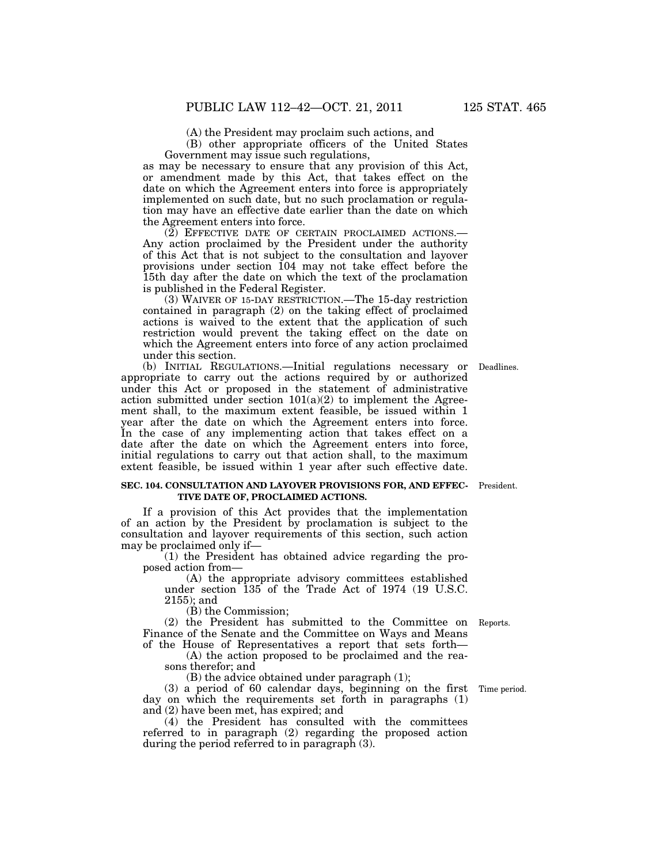(A) the President may proclaim such actions, and

(B) other appropriate officers of the United States Government may issue such regulations,

as may be necessary to ensure that any provision of this Act, or amendment made by this Act, that takes effect on the date on which the Agreement enters into force is appropriately implemented on such date, but no such proclamation or regulation may have an effective date earlier than the date on which the Agreement enters into force.

(2) EFFECTIVE DATE OF CERTAIN PROCLAIMED ACTIONS.— Any action proclaimed by the President under the authority of this Act that is not subject to the consultation and layover provisions under section 104 may not take effect before the 15th day after the date on which the text of the proclamation is published in the Federal Register.

(3) WAIVER OF 15-DAY RESTRICTION.—The 15-day restriction contained in paragraph (2) on the taking effect of proclaimed actions is waived to the extent that the application of such restriction would prevent the taking effect on the date on which the Agreement enters into force of any action proclaimed under this section.

Deadlines.

(b) INITIAL REGULATIONS.—Initial regulations necessary or appropriate to carry out the actions required by or authorized under this Act or proposed in the statement of administrative action submitted under section  $101(a)(2)$  to implement the Agreement shall, to the maximum extent feasible, be issued within 1 year after the date on which the Agreement enters into force. In the case of any implementing action that takes effect on a date after the date on which the Agreement enters into force, initial regulations to carry out that action shall, to the maximum extent feasible, be issued within 1 year after such effective date.

#### **SEC. 104. CONSULTATION AND LAYOVER PROVISIONS FOR, AND EFFEC-** President. **TIVE DATE OF, PROCLAIMED ACTIONS.**

If a provision of this Act provides that the implementation of an action by the President by proclamation is subject to the consultation and layover requirements of this section, such action may be proclaimed only if—

(1) the President has obtained advice regarding the proposed action from—

(A) the appropriate advisory committees established under section 135 of the Trade Act of 1974 (19 U.S.C. 2155); and

(B) the Commission;

(2) the President has submitted to the Committee on Reports. Finance of the Senate and the Committee on Ways and Means of the House of Representatives a report that sets forth—

(A) the action proposed to be proclaimed and the reasons therefor; and

(B) the advice obtained under paragraph (1);

(3) a period of 60 calendar days, beginning on the first day on which the requirements set forth in paragraphs (1) and (2) have been met, has expired; and

(4) the President has consulted with the committees referred to in paragraph (2) regarding the proposed action during the period referred to in paragraph (3).

Time period.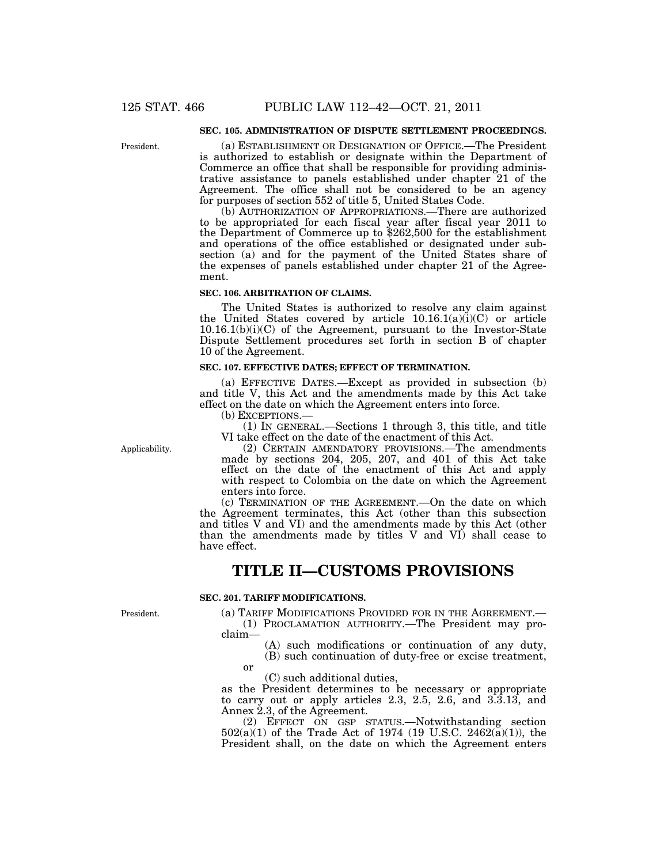## **SEC. 105. ADMINISTRATION OF DISPUTE SETTLEMENT PROCEEDINGS.**

President.

(a) ESTABLISHMENT OR DESIGNATION OF OFFICE.—The President is authorized to establish or designate within the Department of Commerce an office that shall be responsible for providing administrative assistance to panels established under chapter 21 of the Agreement. The office shall not be considered to be an agency for purposes of section 552 of title 5, United States Code.

(b) AUTHORIZATION OF APPROPRIATIONS.—There are authorized to be appropriated for each fiscal year after fiscal year 2011 to the Department of Commerce up to \$262,500 for the establishment and operations of the office established or designated under subsection (a) and for the payment of the United States share of the expenses of panels established under chapter 21 of the Agreement.

#### **SEC. 106. ARBITRATION OF CLAIMS.**

The United States is authorized to resolve any claim against the United States covered by article  $10.16.1(a)(i)(C)$  or article 10.16.1(b)(i)(C) of the Agreement, pursuant to the Investor-State Dispute Settlement procedures set forth in section B of chapter 10 of the Agreement.

### **SEC. 107. EFFECTIVE DATES; EFFECT OF TERMINATION.**

(a) EFFECTIVE DATES.—Except as provided in subsection (b) and title V, this Act and the amendments made by this Act take effect on the date on which the Agreement enters into force.

(b) EXCEPTIONS.—

(1) IN GENERAL.—Sections 1 through 3, this title, and title VI take effect on the date of the enactment of this Act.

Applicability.

(2) CERTAIN AMENDATORY PROVISIONS.—The amendments made by sections 204, 205, 207, and 401 of this Act take effect on the date of the enactment of this Act and apply with respect to Colombia on the date on which the Agreement enters into force.

(c) TERMINATION OF THE AGREEMENT.—On the date on which the Agreement terminates, this Act (other than this subsection and titles V and VI) and the amendments made by this Act (other than the amendments made by titles V and VI) shall cease to have effect.

## **TITLE II—CUSTOMS PROVISIONS**

## **SEC. 201. TARIFF MODIFICATIONS.**

President.

(a) TARIFF MODIFICATIONS PROVIDED FOR IN THE AGREEMENT.— (1) PROCLAMATION AUTHORITY.—The President may pro-

claim—

- (A) such modifications or continuation of any duty,
- (B) such continuation of duty-free or excise treatment,

or

(C) such additional duties,

as the President determines to be necessary or appropriate to carry out or apply articles 2.3, 2.5, 2.6, and 3.3.13, and Annex 2.3, of the Agreement.

(2) EFFECT ON GSP STATUS.—Notwithstanding section 502(a)(1) of the Trade Act of 1974 (19 U.S.C. 2462(a)(1)), the President shall, on the date on which the Agreement enters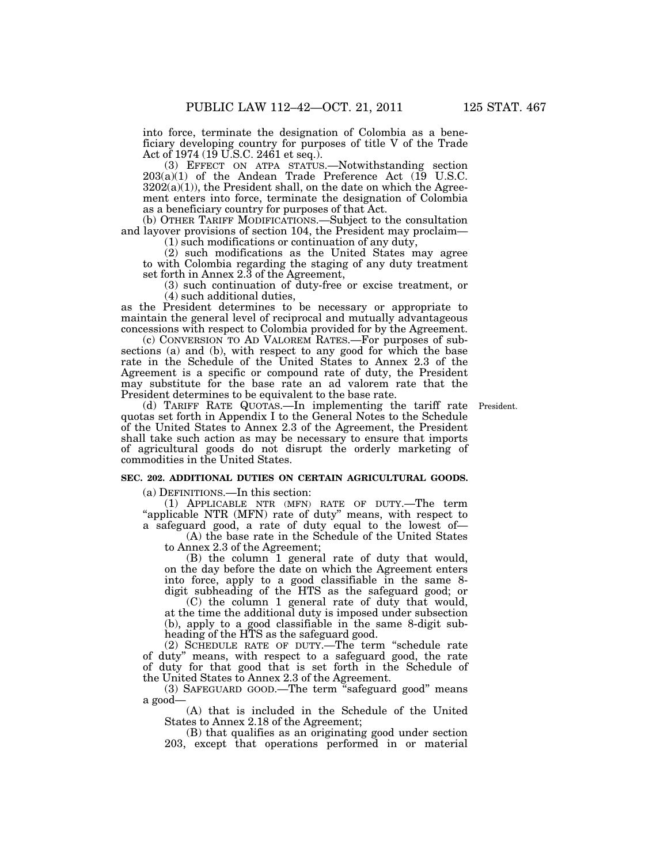into force, terminate the designation of Colombia as a beneficiary developing country for purposes of title V of the Trade Act of 1974 (19 U.S.C. 2461 et seq.).

(3) EFFECT ON ATPA STATUS.—Notwithstanding section 203(a)(1) of the Andean Trade Preference Act (19 U.S.C.  $3202(a)(1)$ , the President shall, on the date on which the Agreement enters into force, terminate the designation of Colombia as a beneficiary country for purposes of that Act.

(b) OTHER TARIFF MODIFICATIONS.—Subject to the consultation and layover provisions of section 104, the President may proclaim— (1) such modifications or continuation of any duty,

(2) such modifications as the United States may agree to with Colombia regarding the staging of any duty treatment set forth in Annex 2.3 of the Agreement,

(3) such continuation of duty-free or excise treatment, or (4) such additional duties,

as the President determines to be necessary or appropriate to maintain the general level of reciprocal and mutually advantageous concessions with respect to Colombia provided for by the Agreement.

(c) CONVERSION TO AD VALOREM RATES.—For purposes of subsections (a) and (b), with respect to any good for which the base rate in the Schedule of the United States to Annex 2.3 of the Agreement is a specific or compound rate of duty, the President may substitute for the base rate an ad valorem rate that the President determines to be equivalent to the base rate.

(d) TARIFF RATE QUOTAS.—In implementing the tariff rate President. quotas set forth in Appendix I to the General Notes to the Schedule of the United States to Annex 2.3 of the Agreement, the President shall take such action as may be necessary to ensure that imports of agricultural goods do not disrupt the orderly marketing of commodities in the United States.

#### **SEC. 202. ADDITIONAL DUTIES ON CERTAIN AGRICULTURAL GOODS.**

(a) DEFINITIONS.—In this section:

(1) APPLICABLE NTR (MFN) RATE OF DUTY.—The term "applicable NTR (MFN) rate of duty" means, with respect to a safeguard good, a rate of duty equal to the lowest of—

(A) the base rate in the Schedule of the United States to Annex 2.3 of the Agreement;

(B) the column 1 general rate of duty that would, on the day before the date on which the Agreement enters into force, apply to a good classifiable in the same 8 digit subheading of the HTS as the safeguard good; or

(C) the column 1 general rate of duty that would, at the time the additional duty is imposed under subsection (b), apply to a good classifiable in the same 8-digit subheading of the HTS as the safeguard good.

(2) SCHEDULE RATE OF DUTY.—The term ''schedule rate of duty'' means, with respect to a safeguard good, the rate of duty for that good that is set forth in the Schedule of the United States to Annex 2.3 of the Agreement.

(3) SAFEGUARD GOOD.—The term ''safeguard good'' means a good—

(A) that is included in the Schedule of the United States to Annex 2.18 of the Agreement;

(B) that qualifies as an originating good under section 203, except that operations performed in or material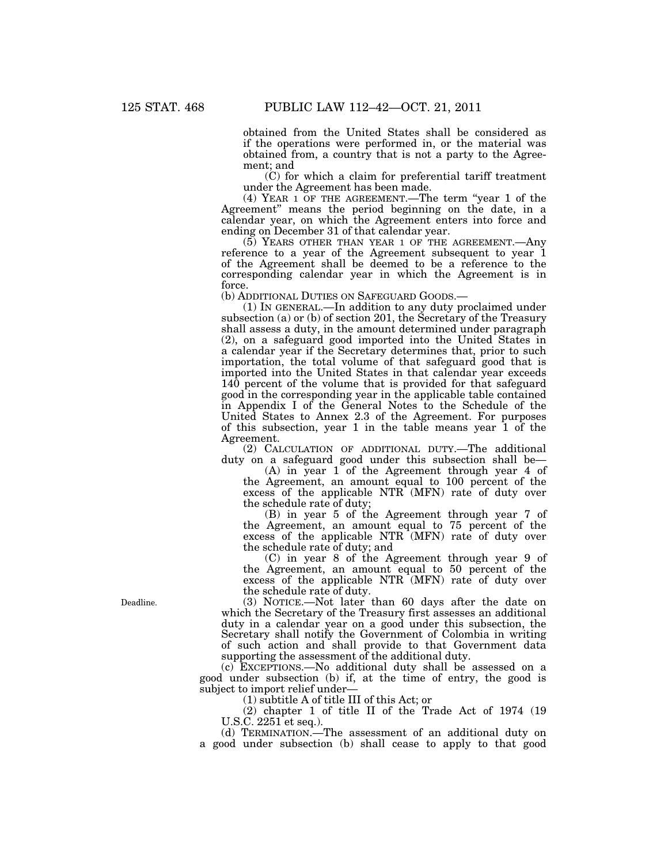obtained from the United States shall be considered as if the operations were performed in, or the material was obtained from, a country that is not a party to the Agreement; and

(C) for which a claim for preferential tariff treatment under the Agreement has been made.

(4) YEAR 1 OF THE AGREEMENT.—The term ''year 1 of the Agreement'' means the period beginning on the date, in a calendar year, on which the Agreement enters into force and ending on December 31 of that calendar year.

(5) YEARS OTHER THAN YEAR 1 OF THE AGREEMENT.—Any reference to a year of the Agreement subsequent to year 1 of the Agreement shall be deemed to be a reference to the corresponding calendar year in which the Agreement is in force.<br>(b) ADDITIONAL DUTIES ON SAFEGUARD GOODS.—

 $(1)$  In GENERAL.—In addition to any duty proclaimed under subsection (a) or (b) of section 201, the Secretary of the Treasury shall assess a duty, in the amount determined under paragraph (2), on a safeguard good imported into the United States in a calendar year if the Secretary determines that, prior to such importation, the total volume of that safeguard good that is imported into the United States in that calendar year exceeds 140 percent of the volume that is provided for that safeguard good in the corresponding year in the applicable table contained in Appendix I of the General Notes to the Schedule of the United States to Annex 2.3 of the Agreement. For purposes of this subsection, year 1 in the table means year 1 of the Agreement.

(2) CALCULATION OF ADDITIONAL DUTY.—The additional duty on a safeguard good under this subsection shall be—

(A) in year 1 of the Agreement through year 4 of the Agreement, an amount equal to 100 percent of the excess of the applicable NTR (MFN) rate of duty over the schedule rate of duty;

(B) in year 5 of the Agreement through year 7 of the Agreement, an amount equal to 75 percent of the excess of the applicable NTR (MFN) rate of duty over the schedule rate of duty; and

(C) in year 8 of the Agreement through year 9 of the Agreement, an amount equal to 50 percent of the excess of the applicable NTR (MFN) rate of duty over the schedule rate of duty.

(3) NOTICE.—Not later than 60 days after the date on which the Secretary of the Treasury first assesses an additional duty in a calendar year on a good under this subsection, the Secretary shall notify the Government of Colombia in writing of such action and shall provide to that Government data supporting the assessment of the additional duty.

(c) EXCEPTIONS.—No additional duty shall be assessed on a good under subsection (b) if, at the time of entry, the good is subject to import relief under—

(1) subtitle A of title III of this Act; or

(2) chapter 1 of title II of the Trade Act of 1974 (19 U.S.C. 2251 et seq.).

(d) TERMINATION.—The assessment of an additional duty on a good under subsection (b) shall cease to apply to that good

Deadline.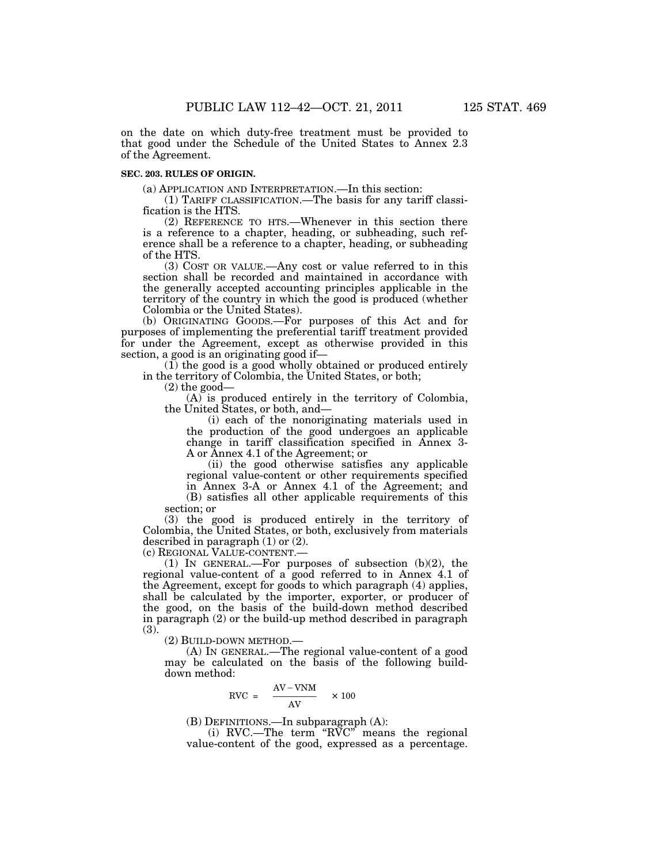on the date on which duty-free treatment must be provided to that good under the Schedule of the United States to Annex 2.3 of the Agreement.

## **SEC. 203. RULES OF ORIGIN.**

(a) APPLICATION AND INTERPRETATION.—In this section:

(1) TARIFF CLASSIFICATION.—The basis for any tariff classification is the HTS.

(2) REFERENCE TO HTS.—Whenever in this section there is a reference to a chapter, heading, or subheading, such reference shall be a reference to a chapter, heading, or subheading of the HTS.

(3) COST OR VALUE.—Any cost or value referred to in this section shall be recorded and maintained in accordance with the generally accepted accounting principles applicable in the territory of the country in which the good is produced (whether Colombia or the United States).

(b) ORIGINATING GOODS.—For purposes of this Act and for purposes of implementing the preferential tariff treatment provided for under the Agreement, except as otherwise provided in this section, a good is an originating good if-

(1) the good is a good wholly obtained or produced entirely in the territory of Colombia, the United States, or both;

 $(2)$  the good—

(A) is produced entirely in the territory of Colombia, the United States, or both, and—

(i) each of the nonoriginating materials used in the production of the good undergoes an applicable change in tariff classification specified in Annex 3- A or Annex 4.1 of the Agreement; or

(ii) the good otherwise satisfies any applicable regional value-content or other requirements specified in Annex 3-A or Annex 4.1 of the Agreement; and (B) satisfies all other applicable requirements of this section; or

(3) the good is produced entirely in the territory of Colombia, the United States, or both, exclusively from materials described in paragraph (1) or (2).

(c) REGIONAL VALUE-CONTENT.—

(1) IN GENERAL.—For purposes of subsection (b)(2), the regional value-content of a good referred to in Annex 4.1 of the Agreement, except for goods to which paragraph (4) applies, shall be calculated by the importer, exporter, or producer of the good, on the basis of the build-down method described in paragraph (2) or the build-up method described in paragraph (3).

(2) BUILD-DOWN METHOD.—

(A) IN GENERAL.—The regional value-content of a good may be calculated on the basis of the following builddown method:

$$
RVC = \frac{AV-VNM}{AV} \times 100
$$

(B) DEFINITIONS.—In subparagraph (A):

(i) RVC.—The term " $R\widetilde{V}C$ " means the regional value-content of the good, expressed as a percentage.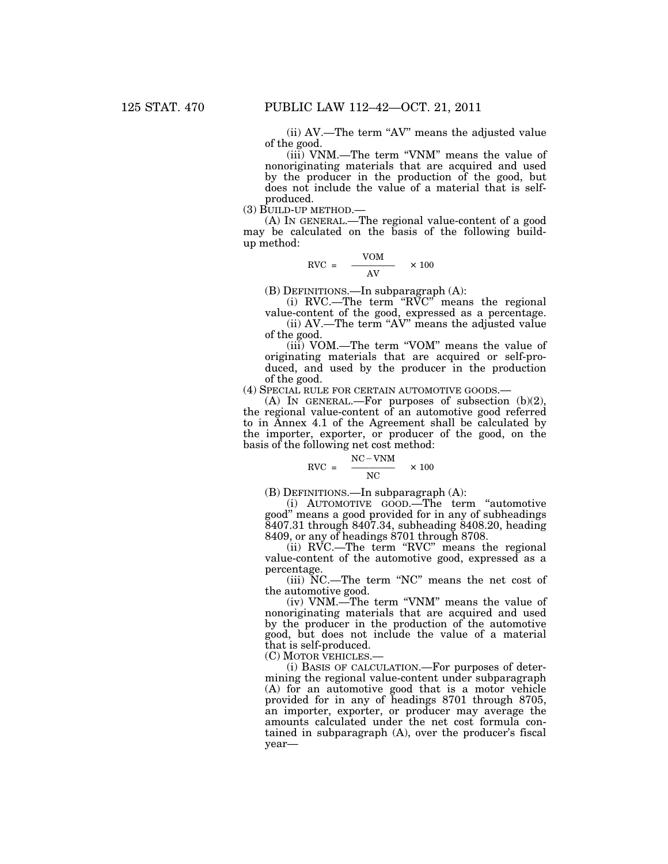(ii) AV.—The term ''AV'' means the adjusted value of the good.

(iii) VNM.—The term ''VNM'' means the value of nonoriginating materials that are acquired and used by the producer in the production of the good, but does not include the value of a material that is selfproduced.

(3) BUILD-UP METHOD.—

(A) IN GENERAL.—The regional value-content of a good may be calculated on the basis of the following buildup method:

$$
RVC = \frac{VOM}{AV} \times 100
$$

(B) DEFINITIONS.—In subparagraph (A):

(i) RVC.—The term " $R\overline{V}C$ " means the regional value-content of the good, expressed as a percentage.

(ii)  $AV$ —The term " $AV$ " means the adjusted value of the good.

(iii) VOM.—The term ''VOM'' means the value of originating materials that are acquired or self-produced, and used by the producer in the production of the good.

(4) SPECIAL RULE FOR CERTAIN AUTOMOTIVE GOODS.—

(A) IN GENERAL.—For purposes of subsection (b)(2), the regional value-content of an automotive good referred to in Annex 4.1 of the Agreement shall be calculated by the importer, exporter, or producer of the good, on the basis of the following net cost method:

$$
RVC = \frac{NC - VNM}{NC} \times 100
$$

(B) DEFINITIONS.—In subparagraph (A):

(i) AUTOMOTIVE GOOD.—The term ''automotive good'' means a good provided for in any of subheadings 8407.31 through 8407.34, subheading 8408.20, heading 8409, or any of headings 8701 through 8708.

(ii) RVC.—The term ''RVC'' means the regional value-content of the automotive good, expressed as a percentage.

(iii) NC.—The term ''NC'' means the net cost of the automotive good.

(iv) VNM.—The term ''VNM'' means the value of nonoriginating materials that are acquired and used by the producer in the production of the automotive good, but does not include the value of a material that is self-produced.

(C) MOTOR VEHICLES.—

(i) BASIS OF CALCULATION.—For purposes of determining the regional value-content under subparagraph (A) for an automotive good that is a motor vehicle provided for in any of headings 8701 through 8705, an importer, exporter, or producer may average the amounts calculated under the net cost formula contained in subparagraph (A), over the producer's fiscal year—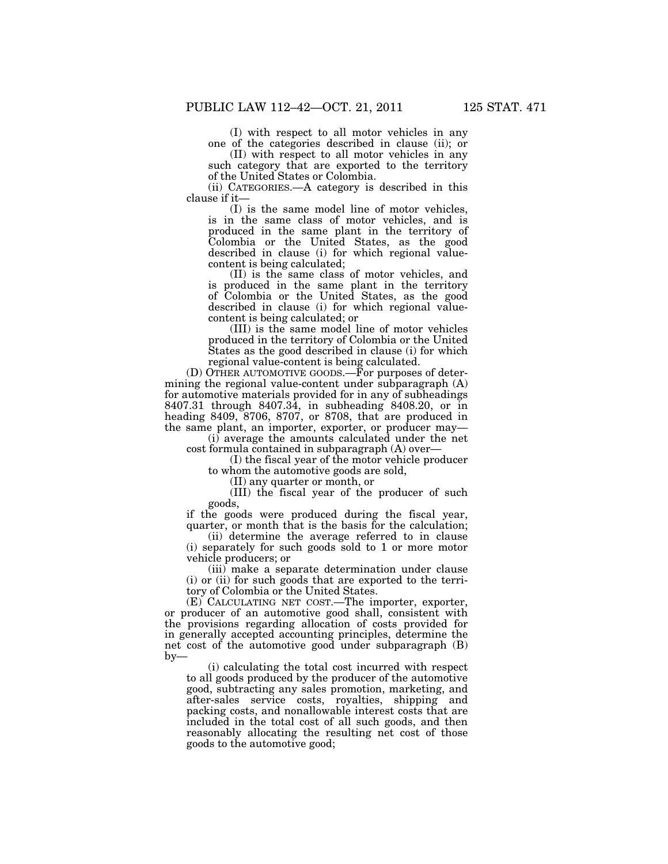(I) with respect to all motor vehicles in any one of the categories described in clause (ii); or

(II) with respect to all motor vehicles in any such category that are exported to the territory of the United States or Colombia.

(ii) CATEGORIES.—A category is described in this clause if it—

(I) is the same model line of motor vehicles, is in the same class of motor vehicles, and is produced in the same plant in the territory of Colombia or the United States, as the good described in clause (i) for which regional valuecontent is being calculated;

(II) is the same class of motor vehicles, and is produced in the same plant in the territory of Colombia or the United States, as the good described in clause (i) for which regional valuecontent is being calculated; or

(III) is the same model line of motor vehicles produced in the territory of Colombia or the United States as the good described in clause (i) for which regional value-content is being calculated.

(D) OTHER AUTOMOTIVE GOODS.—For purposes of determining the regional value-content under subparagraph (A) for automotive materials provided for in any of subheadings 8407.31 through 8407.34, in subheading 8408.20, or in heading 8409, 8706, 8707, or 8708, that are produced in the same plant, an importer, exporter, or producer may—

(i) average the amounts calculated under the net cost formula contained in subparagraph (A) over—

(I) the fiscal year of the motor vehicle producer to whom the automotive goods are sold,

(II) any quarter or month, or

(III) the fiscal year of the producer of such goods,

if the goods were produced during the fiscal year, quarter, or month that is the basis for the calculation;

(ii) determine the average referred to in clause (i) separately for such goods sold to 1 or more motor vehicle producers; or

(iii) make a separate determination under clause (i) or (ii) for such goods that are exported to the territory of Colombia or the United States.

(E) CALCULATING NET COST.—The importer, exporter, or producer of an automotive good shall, consistent with the provisions regarding allocation of costs provided for in generally accepted accounting principles, determine the net cost of the automotive good under subparagraph (B) by—

(i) calculating the total cost incurred with respect to all goods produced by the producer of the automotive good, subtracting any sales promotion, marketing, and after-sales service costs, royalties, shipping and packing costs, and nonallowable interest costs that are included in the total cost of all such goods, and then reasonably allocating the resulting net cost of those goods to the automotive good;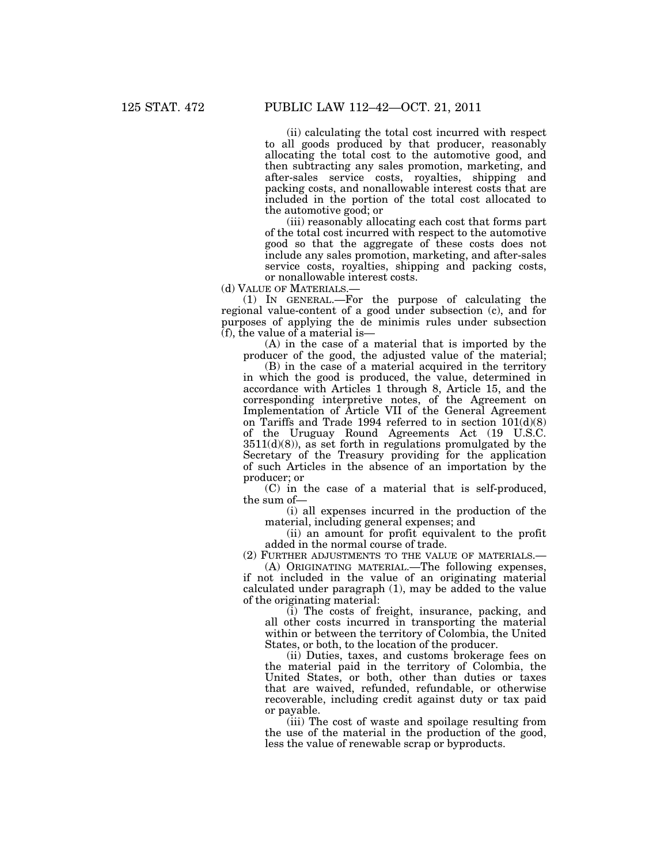(ii) calculating the total cost incurred with respect to all goods produced by that producer, reasonably allocating the total cost to the automotive good, and then subtracting any sales promotion, marketing, and after-sales service costs, royalties, shipping and packing costs, and nonallowable interest costs that are included in the portion of the total cost allocated to the automotive good; or

(iii) reasonably allocating each cost that forms part of the total cost incurred with respect to the automotive good so that the aggregate of these costs does not include any sales promotion, marketing, and after-sales service costs, royalties, shipping and packing costs, or nonallowable interest costs.

(d) VALUE OF MATERIALS.—

(1) IN GENERAL.—For the purpose of calculating the regional value-content of a good under subsection (c), and for purposes of applying the de minimis rules under subsection (f), the value of a material is—

(A) in the case of a material that is imported by the producer of the good, the adjusted value of the material;

(B) in the case of a material acquired in the territory in which the good is produced, the value, determined in accordance with Articles 1 through 8, Article 15, and the corresponding interpretive notes, of the Agreement on Implementation of Article VII of the General Agreement on Tariffs and Trade 1994 referred to in section 101(d)(8) of the Uruguay Round Agreements Act (19 U.S.C.  $3511(d)(8)$ , as set forth in regulations promulgated by the Secretary of the Treasury providing for the application of such Articles in the absence of an importation by the producer; or

(C) in the case of a material that is self-produced, the sum of—

(i) all expenses incurred in the production of the material, including general expenses; and

(ii) an amount for profit equivalent to the profit added in the normal course of trade.

(2) FURTHER ADJUSTMENTS TO THE VALUE OF MATERIALS.—

(A) ORIGINATING MATERIAL.—The following expenses, if not included in the value of an originating material calculated under paragraph (1), may be added to the value of the originating material:

(i) The costs of freight, insurance, packing, and all other costs incurred in transporting the material within or between the territory of Colombia, the United States, or both, to the location of the producer.

(ii) Duties, taxes, and customs brokerage fees on the material paid in the territory of Colombia, the United States, or both, other than duties or taxes that are waived, refunded, refundable, or otherwise recoverable, including credit against duty or tax paid or payable.

(iii) The cost of waste and spoilage resulting from the use of the material in the production of the good, less the value of renewable scrap or byproducts.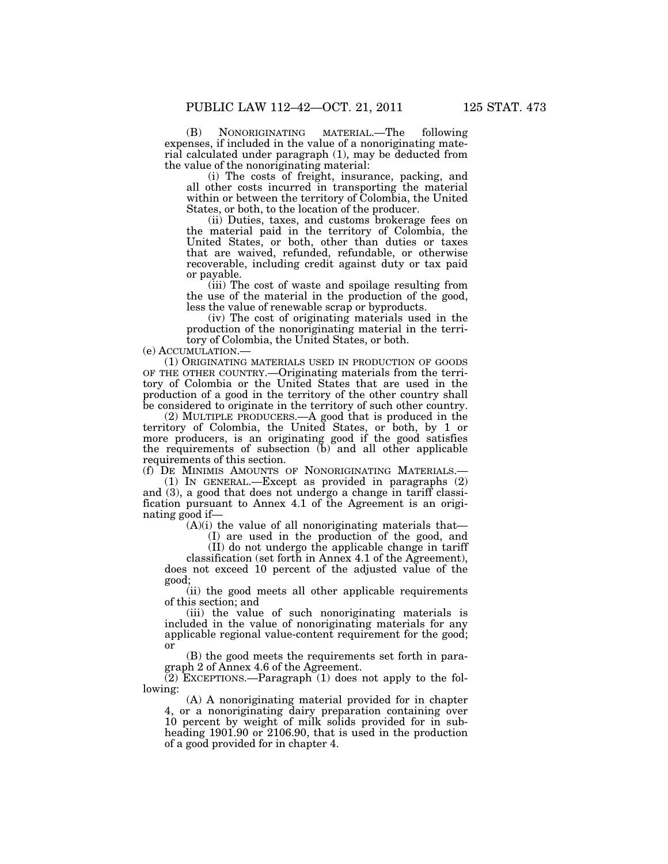(B) NONORIGINATING MATERIAL.—The following expenses, if included in the value of a nonoriginating material calculated under paragraph (1), may be deducted from the value of the nonoriginating material:

(i) The costs of freight, insurance, packing, and all other costs incurred in transporting the material within or between the territory of Colombia, the United States, or both, to the location of the producer.

(ii) Duties, taxes, and customs brokerage fees on the material paid in the territory of Colombia, the United States, or both, other than duties or taxes that are waived, refunded, refundable, or otherwise recoverable, including credit against duty or tax paid or payable.

(iii) The cost of waste and spoilage resulting from the use of the material in the production of the good, less the value of renewable scrap or byproducts.

(iv) The cost of originating materials used in the production of the nonoriginating material in the territory of Colombia, the United States, or both.

(e) ACCUMULATION.—

(1) ORIGINATING MATERIALS USED IN PRODUCTION OF GOODS OF THE OTHER COUNTRY.—Originating materials from the territory of Colombia or the United States that are used in the production of a good in the territory of the other country shall be considered to originate in the territory of such other country.

(2) MULTIPLE PRODUCERS.—A good that is produced in the territory of Colombia, the United States, or both, by 1 or more producers, is an originating good if the good satisfies the requirements of subsection (b) and all other applicable requirements of this section.

(f) DE MINIMIS AMOUNTS OF NONORIGINATING MATERIALS.—

(1) IN GENERAL.—Except as provided in paragraphs (2) and (3), a good that does not undergo a change in tariff classification pursuant to Annex 4.1 of the Agreement is an originating good if—

(A)(i) the value of all nonoriginating materials that—

(I) are used in the production of the good, and

(II) do not undergo the applicable change in tariff

classification (set forth in Annex 4.1 of the Agreement), does not exceed 10 percent of the adjusted value of the good;

(ii) the good meets all other applicable requirements of this section; and

(iii) the value of such nonoriginating materials is included in the value of nonoriginating materials for any applicable regional value-content requirement for the good; or

(B) the good meets the requirements set forth in paragraph 2 of Annex 4.6 of the Agreement.

(2) EXCEPTIONS.—Paragraph (1) does not apply to the following:

(A) A nonoriginating material provided for in chapter 4, or a nonoriginating dairy preparation containing over 10 percent by weight of milk solids provided for in subheading 1901.90 or 2106.90, that is used in the production of a good provided for in chapter 4.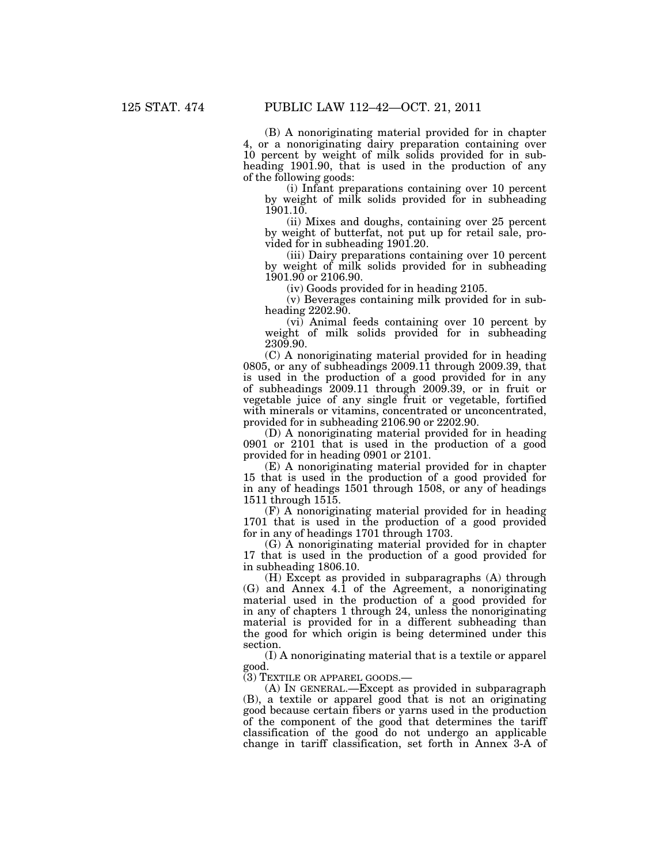(B) A nonoriginating material provided for in chapter 4, or a nonoriginating dairy preparation containing over 10 percent by weight of milk solids provided for in subheading 1901.90, that is used in the production of any of the following goods:

(i) Infant preparations containing over 10 percent by weight of milk solids provided for in subheading 1901.10.

(ii) Mixes and doughs, containing over 25 percent by weight of butterfat, not put up for retail sale, provided for in subheading 1901.20.

(iii) Dairy preparations containing over 10 percent by weight of milk solids provided for in subheading 1901.90 or 2106.90.

(iv) Goods provided for in heading 2105.

(v) Beverages containing milk provided for in subheading 2202.90.

(vi) Animal feeds containing over 10 percent by weight of milk solids provided for in subheading 2309.90.

(C) A nonoriginating material provided for in heading 0805, or any of subheadings 2009.11 through 2009.39, that is used in the production of a good provided for in any of subheadings 2009.11 through 2009.39, or in fruit or vegetable juice of any single fruit or vegetable, fortified with minerals or vitamins, concentrated or unconcentrated, provided for in subheading 2106.90 or 2202.90.

(D) A nonoriginating material provided for in heading 0901 or 2101 that is used in the production of a good provided for in heading 0901 or 2101.

(E) A nonoriginating material provided for in chapter 15 that is used in the production of a good provided for in any of headings 1501 through 1508, or any of headings 1511 through 1515.

(F) A nonoriginating material provided for in heading 1701 that is used in the production of a good provided for in any of headings 1701 through 1703.

(G) A nonoriginating material provided for in chapter 17 that is used in the production of a good provided for in subheading 1806.10.

(H) Except as provided in subparagraphs (A) through (G) and Annex 4.1 of the Agreement, a nonoriginating material used in the production of a good provided for in any of chapters 1 through 24, unless the nonoriginating material is provided for in a different subheading than the good for which origin is being determined under this section.

(I) A nonoriginating material that is a textile or apparel good.

(3) TEXTILE OR APPAREL GOODS.—

(A) IN GENERAL.—Except as provided in subparagraph (B), a textile or apparel good that is not an originating good because certain fibers or yarns used in the production of the component of the good that determines the tariff classification of the good do not undergo an applicable change in tariff classification, set forth in Annex 3-A of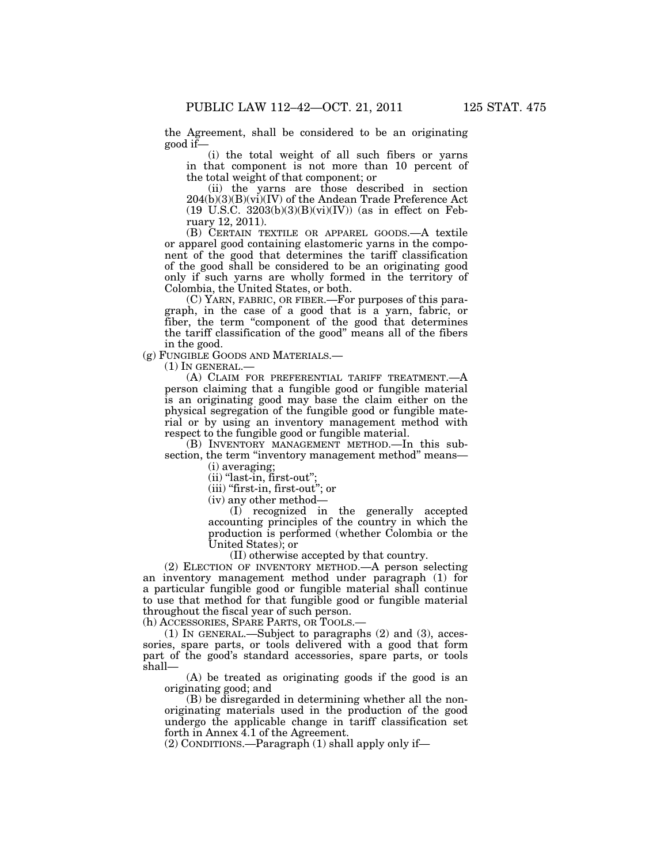the Agreement, shall be considered to be an originating good if—

(i) the total weight of all such fibers or yarns in that component is not more than 10 percent of the total weight of that component; or

(ii) the yarns are those described in section  $204(b)(3)(B)(vi)(IV)$  of the Andean Trade Preference Act (19 U.S.C.  $3203(b)(3)(B)(vi)(IV))$  (as in effect on February 12, 2011).

(B) CERTAIN TEXTILE OR APPAREL GOODS.—A textile or apparel good containing elastomeric yarns in the component of the good that determines the tariff classification of the good shall be considered to be an originating good only if such yarns are wholly formed in the territory of Colombia, the United States, or both.

(C) YARN, FABRIC, OR FIBER.—For purposes of this paragraph, in the case of a good that is a yarn, fabric, or fiber, the term "component of the good that determines the tariff classification of the good'' means all of the fibers in the good.

(g) FUNGIBLE GOODS AND MATERIALS.—

(1) IN GENERAL.—

(A) CLAIM FOR PREFERENTIAL TARIFF TREATMENT.—A person claiming that a fungible good or fungible material is an originating good may base the claim either on the physical segregation of the fungible good or fungible material or by using an inventory management method with respect to the fungible good or fungible material.

(B) INVENTORY MANAGEMENT METHOD.—In this subsection, the term "inventory management method" means-

(i) averaging;

 $(ii)$  "last-in, first-out";

(iii) "first-in, first-out"; or

(iv) any other method—

(I) recognized in the generally accepted accounting principles of the country in which the production is performed (whether Colombia or the United States); or

(II) otherwise accepted by that country.

(2) ELECTION OF INVENTORY METHOD.—A person selecting an inventory management method under paragraph (1) for a particular fungible good or fungible material shall continue to use that method for that fungible good or fungible material throughout the fiscal year of such person.

(h) ACCESSORIES, SPARE PARTS, OR TOOLS.—

(1) IN GENERAL.—Subject to paragraphs (2) and (3), accessories, spare parts, or tools delivered with a good that form part of the good's standard accessories, spare parts, or tools shall—

(A) be treated as originating goods if the good is an originating good; and

(B) be disregarded in determining whether all the nonoriginating materials used in the production of the good undergo the applicable change in tariff classification set forth in Annex 4.1 of the Agreement.

(2) CONDITIONS.—Paragraph (1) shall apply only if—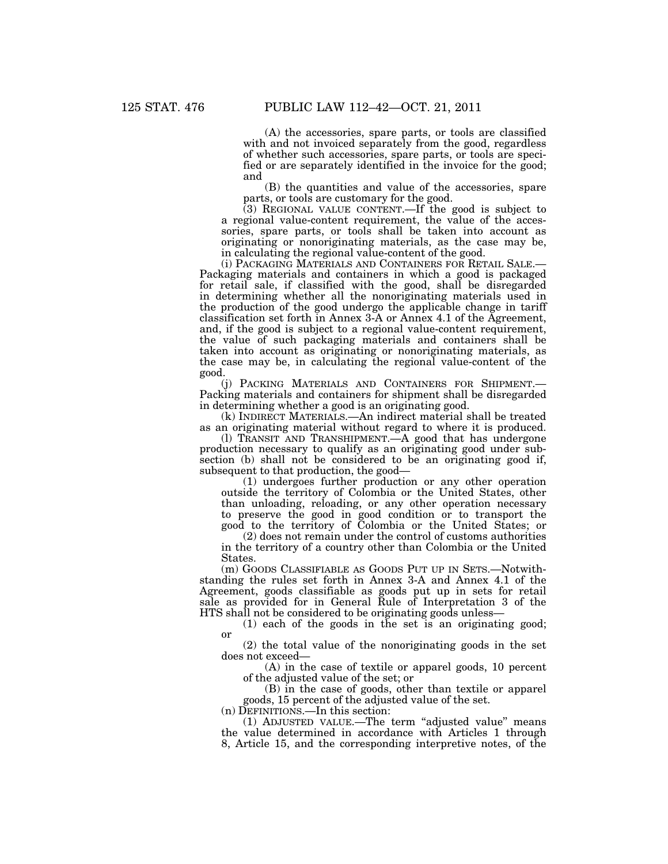(A) the accessories, spare parts, or tools are classified with and not invoiced separately from the good, regardless of whether such accessories, spare parts, or tools are specified or are separately identified in the invoice for the good; and

(B) the quantities and value of the accessories, spare parts, or tools are customary for the good.

(3) REGIONAL VALUE CONTENT.—If the good is subject to a regional value-content requirement, the value of the accessories, spare parts, or tools shall be taken into account as originating or nonoriginating materials, as the case may be,

in calculating the regional value-content of the good.<br>(i) PACKAGING MATERIALS AND CONTAINERS FOR RETAIL SALE.-Packaging materials and containers in which a good is packaged for retail sale, if classified with the good, shall be disregarded in determining whether all the nonoriginating materials used in the production of the good undergo the applicable change in tariff classification set forth in Annex 3-A or Annex 4.1 of the Agreement, and, if the good is subject to a regional value-content requirement, the value of such packaging materials and containers shall be taken into account as originating or nonoriginating materials, as the case may be, in calculating the regional value-content of the good.

(j) PACKING MATERIALS AND CONTAINERS FOR SHIPMENT.— Packing materials and containers for shipment shall be disregarded in determining whether a good is an originating good.

(k) INDIRECT MATERIALS.—An indirect material shall be treated as an originating material without regard to where it is produced.

(l) TRANSIT AND TRANSHIPMENT.—A good that has undergone production necessary to qualify as an originating good under subsection (b) shall not be considered to be an originating good if, subsequent to that production, the good—

(1) undergoes further production or any other operation outside the territory of Colombia or the United States, other than unloading, reloading, or any other operation necessary to preserve the good in good condition or to transport the good to the territory of Colombia or the United States; or

(2) does not remain under the control of customs authorities in the territory of a country other than Colombia or the United States.

(m) GOODS CLASSIFIABLE AS GOODS PUT UP IN SETS.—Notwithstanding the rules set forth in Annex 3-A and Annex 4.1 of the Agreement, goods classifiable as goods put up in sets for retail sale as provided for in General Rule of Interpretation 3 of the HTS shall not be considered to be originating goods unless—

(1) each of the goods in the set is an originating good; or

(2) the total value of the nonoriginating goods in the set does not exceed—

(A) in the case of textile or apparel goods, 10 percent of the adjusted value of the set; or

(B) in the case of goods, other than textile or apparel goods, 15 percent of the adjusted value of the set.

(n) DEFINITIONS.—In this section:

(1) ADJUSTED VALUE.—The term ''adjusted value'' means the value determined in accordance with Articles 1 through 8, Article 15, and the corresponding interpretive notes, of the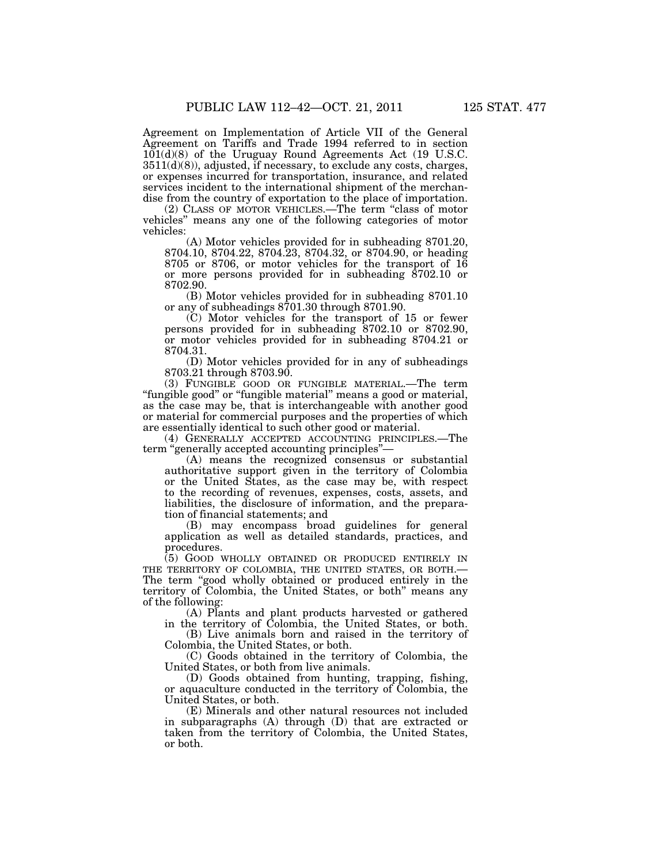Agreement on Implementation of Article VII of the General Agreement on Tariffs and Trade 1994 referred to in section 101(d)(8) of the Uruguay Round Agreements Act (19 U.S.C. 3511(d)(8)), adjusted, if necessary, to exclude any costs, charges, or expenses incurred for transportation, insurance, and related services incident to the international shipment of the merchandise from the country of exportation to the place of importation.

(2) CLASS OF MOTOR VEHICLES.—The term ''class of motor vehicles'' means any one of the following categories of motor vehicles:

(A) Motor vehicles provided for in subheading 8701.20, 8704.10, 8704.22, 8704.23, 8704.32, or 8704.90, or heading 8705 or 8706, or motor vehicles for the transport of 16 or more persons provided for in subheading  $\hat{8}702.10$  or 8702.90.

(B) Motor vehicles provided for in subheading 8701.10 or any of subheadings 8701.30 through 8701.90.

(C) Motor vehicles for the transport of 15 or fewer persons provided for in subheading 8702.10 or 8702.90, or motor vehicles provided for in subheading 8704.21 or 8704.31.

(D) Motor vehicles provided for in any of subheadings 8703.21 through 8703.90.

(3) FUNGIBLE GOOD OR FUNGIBLE MATERIAL.—The term "fungible good" or "fungible material" means a good or material, as the case may be, that is interchangeable with another good or material for commercial purposes and the properties of which are essentially identical to such other good or material.

(4) GENERALLY ACCEPTED ACCOUNTING PRINCIPLES.—The term "generally accepted accounting principles"-

(A) means the recognized consensus or substantial authoritative support given in the territory of Colombia or the United States, as the case may be, with respect to the recording of revenues, expenses, costs, assets, and liabilities, the disclosure of information, and the preparation of financial statements; and

(B) may encompass broad guidelines for general application as well as detailed standards, practices, and procedures.

(5) GOOD WHOLLY OBTAINED OR PRODUCED ENTIRELY IN THE TERRITORY OF COLOMBIA, THE UNITED STATES, OR BOTH.— The term "good wholly obtained or produced entirely in the territory of Colombia, the United States, or both'' means any of the following:

(A) Plants and plant products harvested or gathered in the territory of Colombia, the United States, or both.

(B) Live animals born and raised in the territory of Colombia, the United States, or both.

(C) Goods obtained in the territory of Colombia, the United States, or both from live animals.

(D) Goods obtained from hunting, trapping, fishing, or aquaculture conducted in the territory of Colombia, the United States, or both.

(E) Minerals and other natural resources not included in subparagraphs (A) through (D) that are extracted or taken from the territory of Colombia, the United States, or both.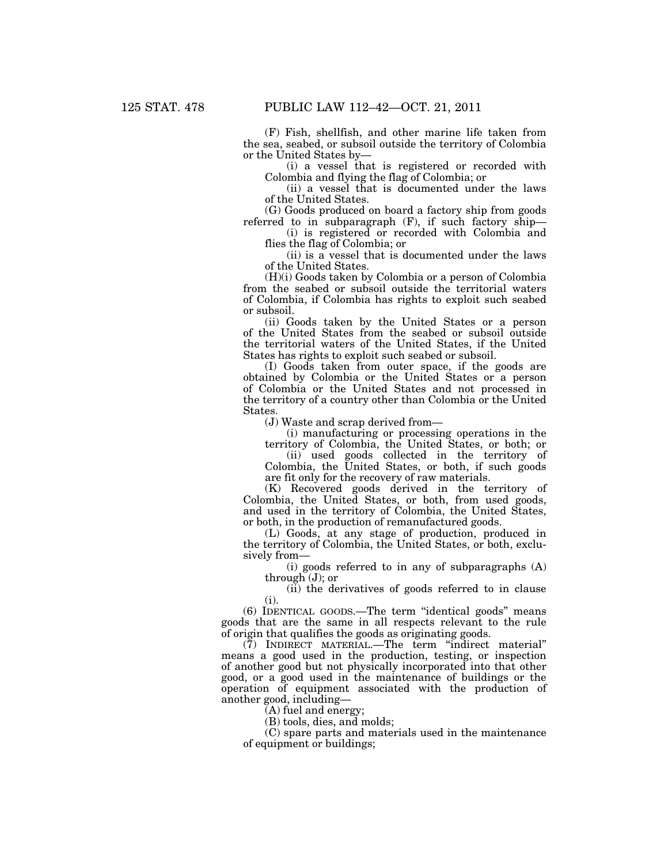(F) Fish, shellfish, and other marine life taken from the sea, seabed, or subsoil outside the territory of Colombia or the United States by—

(i) a vessel that is registered or recorded with Colombia and flying the flag of Colombia; or

(ii) a vessel that is documented under the laws of the United States.

(G) Goods produced on board a factory ship from goods referred to in subparagraph  $(F)$ , if such factory ship—

(i) is registered or recorded with Colombia and flies the flag of Colombia; or

(ii) is a vessel that is documented under the laws of the United States.

(H)(i) Goods taken by Colombia or a person of Colombia from the seabed or subsoil outside the territorial waters of Colombia, if Colombia has rights to exploit such seabed or subsoil.

(ii) Goods taken by the United States or a person of the United States from the seabed or subsoil outside the territorial waters of the United States, if the United States has rights to exploit such seabed or subsoil.

(I) Goods taken from outer space, if the goods are obtained by Colombia or the United States or a person of Colombia or the United States and not processed in the territory of a country other than Colombia or the United States.

(J) Waste and scrap derived from—

(i) manufacturing or processing operations in the territory of Colombia, the United States, or both; or

(ii) used goods collected in the territory of Colombia, the United States, or both, if such goods are fit only for the recovery of raw materials.

(K) Recovered goods derived in the territory of Colombia, the United States, or both, from used goods, and used in the territory of Colombia, the United States, or both, in the production of remanufactured goods.

(L) Goods, at any stage of production, produced in the territory of Colombia, the United States, or both, exclusively from—

(i) goods referred to in any of subparagraphs (A) through (J); or

(ii) the derivatives of goods referred to in clause (i).

(6) IDENTICAL GOODS.—The term ''identical goods'' means goods that are the same in all respects relevant to the rule of origin that qualifies the goods as originating goods.

(7) INDIRECT MATERIAL.—The term ''indirect material'' means a good used in the production, testing, or inspection of another good but not physically incorporated into that other good, or a good used in the maintenance of buildings or the operation of equipment associated with the production of another good, including—

(A) fuel and energy;

(B) tools, dies, and molds;

(C) spare parts and materials used in the maintenance of equipment or buildings;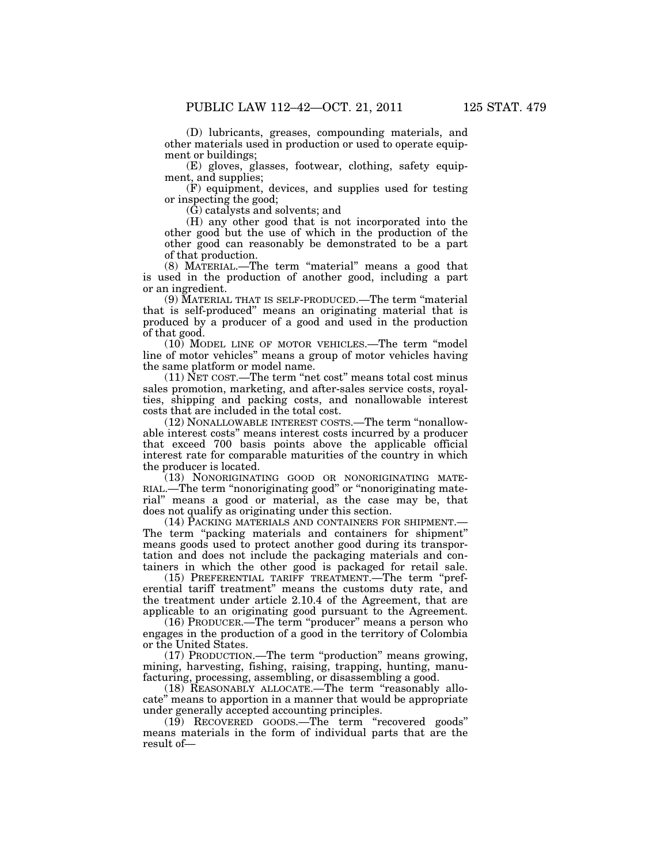(D) lubricants, greases, compounding materials, and other materials used in production or used to operate equip-

ment or buildings; (E) gloves, glasses, footwear, clothing, safety equipment, and supplies;

(F) equipment, devices, and supplies used for testing or inspecting the good;

(G) catalysts and solvents; and

(H) any other good that is not incorporated into the other good but the use of which in the production of the other good can reasonably be demonstrated to be a part of that production.

(8) MATERIAL.—The term ''material'' means a good that is used in the production of another good, including a part or an ingredient.

(9) MATERIAL THAT IS SELF-PRODUCED.—The term ''material that is self-produced'' means an originating material that is produced by a producer of a good and used in the production of that good.

(10) MODEL LINE OF MOTOR VEHICLES.—The term ''model line of motor vehicles'' means a group of motor vehicles having the same platform or model name.

(11) NET COST.—The term ''net cost'' means total cost minus sales promotion, marketing, and after-sales service costs, royalties, shipping and packing costs, and nonallowable interest costs that are included in the total cost.

(12) NONALLOWABLE INTEREST COSTS.—The term ''nonallowable interest costs'' means interest costs incurred by a producer that exceed 700 basis points above the applicable official interest rate for comparable maturities of the country in which the producer is located.

(13) NONORIGINATING GOOD OR NONORIGINATING MATE-RIAL.—The term ''nonoriginating good'' or ''nonoriginating material'' means a good or material, as the case may be, that does not qualify as originating under this section.

(14) PACKING MATERIALS AND CONTAINERS FOR SHIPMENT.— The term "packing materials and containers for shipment" means goods used to protect another good during its transportation and does not include the packaging materials and containers in which the other good is packaged for retail sale.

(15) PREFERENTIAL TARIFF TREATMENT.—The term ''preferential tariff treatment'' means the customs duty rate, and the treatment under article 2.10.4 of the Agreement, that are applicable to an originating good pursuant to the Agreement.

(16) PRODUCER.—The term "producer" means a person who engages in the production of a good in the territory of Colombia or the United States.

(17) PRODUCTION.—The term ''production'' means growing, mining, harvesting, fishing, raising, trapping, hunting, manufacturing, processing, assembling, or disassembling a good.

(18) REASONABLY ALLOCATE.—The term ''reasonably allocate'' means to apportion in a manner that would be appropriate under generally accepted accounting principles.

(19) RECOVERED GOODS.—The term ''recovered goods'' means materials in the form of individual parts that are the result of—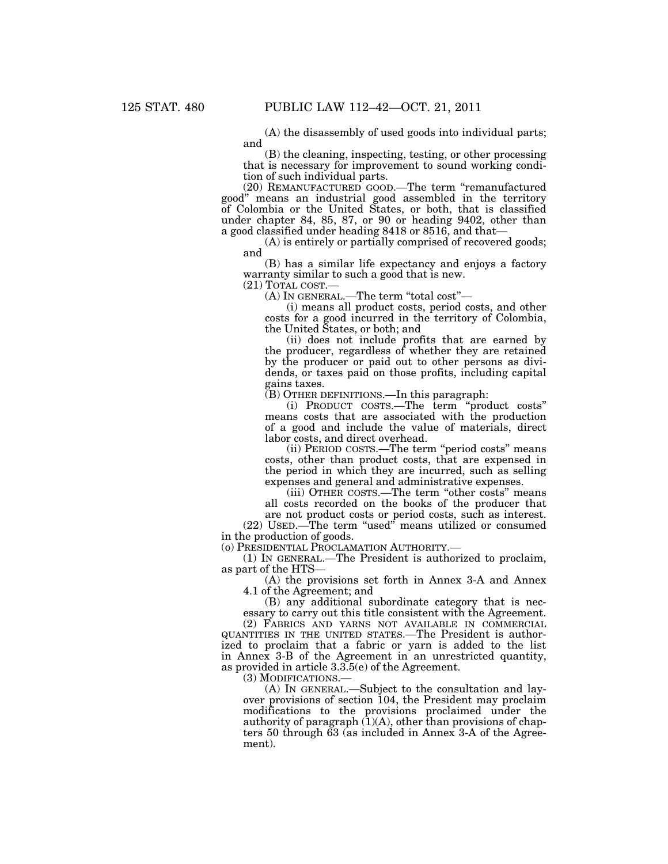(A) the disassembly of used goods into individual parts; and

(B) the cleaning, inspecting, testing, or other processing that is necessary for improvement to sound working condition of such individual parts.

(20) REMANUFACTURED GOOD.—The term ''remanufactured good'' means an industrial good assembled in the territory of Colombia or the United States, or both, that is classified under chapter 84, 85, 87, or 90 or heading 9402, other than a good classified under heading 8418 or 8516, and that—

(A) is entirely or partially comprised of recovered goods; and

(B) has a similar life expectancy and enjoys a factory warranty similar to such a good that is new.

(21) TOTAL COST.— (A) IN GENERAL.—The term ''total cost''—

(i) means all product costs, period costs, and other costs for a good incurred in the territory of Colombia, the United States, or both; and

(ii) does not include profits that are earned by the producer, regardless of whether they are retained by the producer or paid out to other persons as dividends, or taxes paid on those profits, including capital gains taxes.

(B) OTHER DEFINITIONS.—In this paragraph:

(i) PRODUCT COSTS.—The term ''product costs'' means costs that are associated with the production of a good and include the value of materials, direct labor costs, and direct overhead.

(ii) PERIOD COSTS.—The term ''period costs'' means costs, other than product costs, that are expensed in the period in which they are incurred, such as selling expenses and general and administrative expenses.

(iii) OTHER COSTS.—The term ''other costs'' means all costs recorded on the books of the producer that are not product costs or period costs, such as interest.

(22) USED.—The term ''used'' means utilized or consumed in the production of goods.

(o) PRESIDENTIAL PROCLAMATION AUTHORITY.—

(1) IN GENERAL.—The President is authorized to proclaim, as part of the HTS—

(A) the provisions set forth in Annex 3-A and Annex 4.1 of the Agreement; and

(B) any additional subordinate category that is necessary to carry out this title consistent with the Agreement.

(2) FABRICS AND YARNS NOT AVAILABLE IN COMMERCIAL QUANTITIES IN THE UNITED STATES.—The President is authorized to proclaim that a fabric or yarn is added to the list in Annex 3-B of the Agreement in an unrestricted quantity, as provided in article 3.3.5(e) of the Agreement.

(3) MODIFICATIONS.— (A) IN GENERAL.—Subject to the consultation and layover provisions of section 104, the President may proclaim modifications to the provisions proclaimed under the authority of paragraph  $(1)(A)$ , other than provisions of chapters 50 through 63 (as included in Annex 3-A of the Agreement).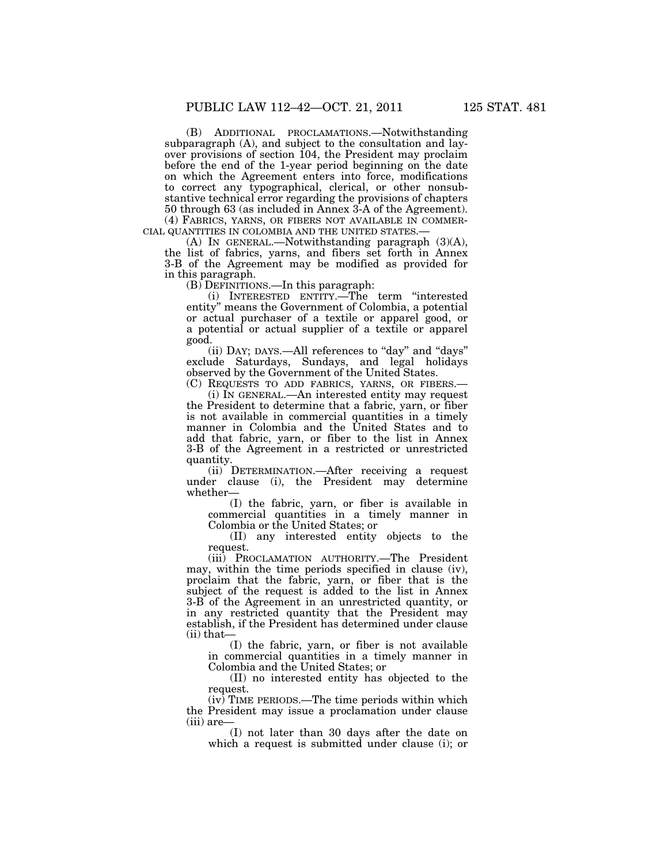(B) ADDITIONAL PROCLAMATIONS.—Notwithstanding subparagraph (A), and subject to the consultation and layover provisions of section 104, the President may proclaim before the end of the 1-year period beginning on the date on which the Agreement enters into force, modifications to correct any typographical, clerical, or other nonsubstantive technical error regarding the provisions of chapters 50 through 63 (as included in Annex 3-A of the Agreement).

(4) FABRICS, YARNS, OR FIBERS NOT AVAILABLE IN COMMER- CIAL QUANTITIES IN COLOMBIA AND THE UNITED STATES.— (A) IN GENERAL.—Notwithstanding paragraph (3)(A),

the list of fabrics, yarns, and fibers set forth in Annex 3-B of the Agreement may be modified as provided for in this paragraph.

(B) DEFINITIONS.—In this paragraph:

(i) INTERESTED ENTITY.—The term ''interested entity'' means the Government of Colombia, a potential or actual purchaser of a textile or apparel good, or a potential or actual supplier of a textile or apparel good.

(ii) DAY; DAYS,—All references to "day" and "days" exclude Saturdays, Sundays, and legal holidays observed by the Government of the United States.

(C) REQUESTS TO ADD FABRICS, YARNS, OR FIBERS.— (i) IN GENERAL.—An interested entity may request the President to determine that a fabric, yarn, or fiber is not available in commercial quantities in a timely manner in Colombia and the United States and to add that fabric, yarn, or fiber to the list in Annex 3-B of the Agreement in a restricted or unrestricted quantity.

(ii) DETERMINATION.—After receiving a request under clause (i), the President may determine whether—

(I) the fabric, yarn, or fiber is available in commercial quantities in a timely manner in Colombia or the United States; or

(II) any interested entity objects to the request.

(iii) PROCLAMATION AUTHORITY.—The President may, within the time periods specified in clause (iv), proclaim that the fabric, yarn, or fiber that is the subject of the request is added to the list in Annex 3-B of the Agreement in an unrestricted quantity, or in any restricted quantity that the President may establish, if the President has determined under clause (ii) that—

(I) the fabric, yarn, or fiber is not available in commercial quantities in a timely manner in Colombia and the United States; or

(II) no interested entity has objected to the request.

 $(iv)$  TIME PERIODS.—The time periods within which the President may issue a proclamation under clause (iii) are—

(I) not later than 30 days after the date on which a request is submitted under clause (i); or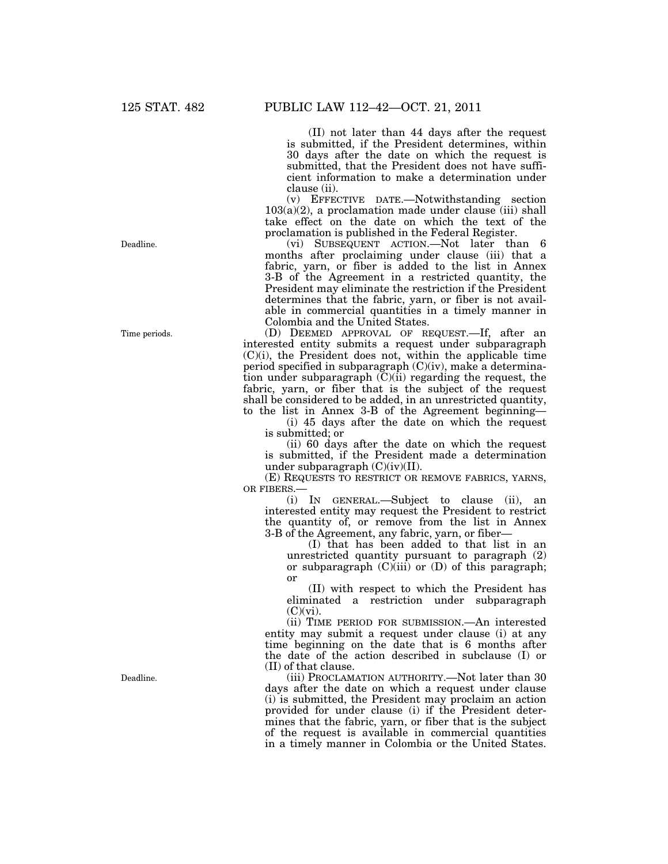(II) not later than 44 days after the request is submitted, if the President determines, within 30 days after the date on which the request is submitted, that the President does not have sufficient information to make a determination under clause (ii).

(v) EFFECTIVE DATE.—Notwithstanding section  $103(a)(2)$ , a proclamation made under clause (iii) shall take effect on the date on which the text of the proclamation is published in the Federal Register.

(vi) SUBSEQUENT ACTION.—Not later than 6 months after proclaiming under clause (iii) that a fabric, yarn, or fiber is added to the list in Annex 3-B of the Agreement in a restricted quantity, the President may eliminate the restriction if the President determines that the fabric, yarn, or fiber is not available in commercial quantities in a timely manner in Colombia and the United States.

(D) DEEMED APPROVAL OF REQUEST.—If, after an interested entity submits a request under subparagraph  $(C)(i)$ , the President does not, within the applicable time period specified in subparagraph (C)(iv), make a determination under subparagraph  $(C)(ii)$  regarding the request, the fabric, yarn, or fiber that is the subject of the request shall be considered to be added, in an unrestricted quantity, to the list in Annex 3-B of the Agreement beginning—

(i) 45 days after the date on which the request is submitted; or

(ii) 60 days after the date on which the request is submitted, if the President made a determination under subparagraph  $(C)(iv)(II)$ .

(E) REQUESTS TO RESTRICT OR REMOVE FABRICS, YARNS, OR FIBERS.

(i) IN GENERAL.—Subject to clause (ii), an interested entity may request the President to restrict the quantity of, or remove from the list in Annex 3-B of the Agreement, any fabric, yarn, or fiber—

(I) that has been added to that list in an unrestricted quantity pursuant to paragraph (2) or subparagraph  $(C)(iii)$  or  $(D)$  of this paragraph; or

(II) with respect to which the President has eliminated a restriction under subparagraph  $(C)(vi)$ .

(ii) TIME PERIOD FOR SUBMISSION.—An interested entity may submit a request under clause (i) at any time beginning on the date that is 6 months after the date of the action described in subclause (I) or (II) of that clause.

(iii) PROCLAMATION AUTHORITY.—Not later than 30 days after the date on which a request under clause (i) is submitted, the President may proclaim an action provided for under clause (i) if the President determines that the fabric, yarn, or fiber that is the subject of the request is available in commercial quantities in a timely manner in Colombia or the United States.

Deadline.

Time periods.

Deadline.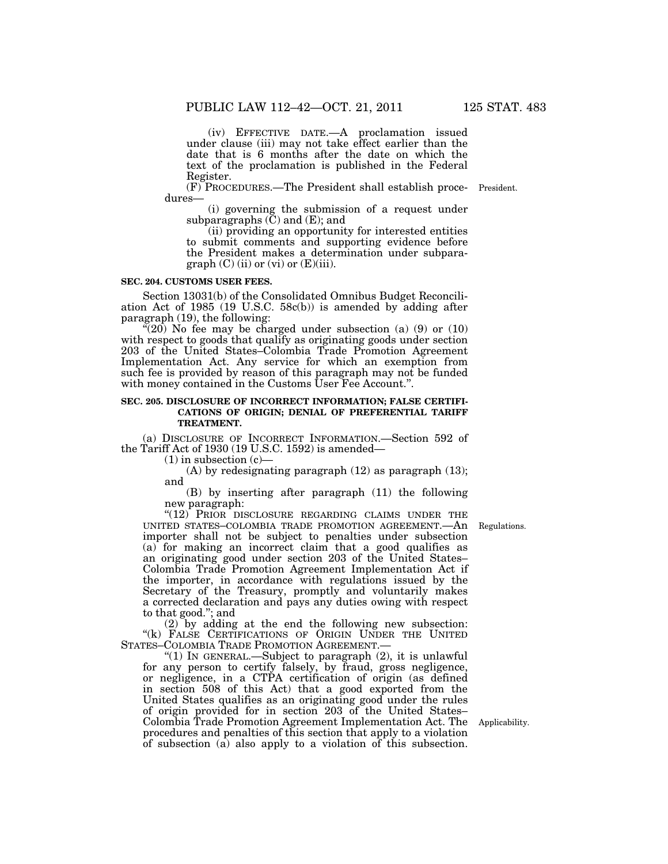(iv) EFFECTIVE DATE.—A proclamation issued under clause (iii) may not take effect earlier than the date that is 6 months after the date on which the text of the proclamation is published in the Federal Register.

(F) PROCEDURES.—The President shall establish proce-President. dures—

(i) governing the submission of a request under subparagraphs  $(\tilde{C})$  and  $(E)$ ; and

(ii) providing an opportunity for interested entities to submit comments and supporting evidence before the President makes a determination under subpara $graph (C) (ii) or (vi) or (E)(iii).$ 

#### **SEC. 204. CUSTOMS USER FEES.**

Section 13031(b) of the Consolidated Omnibus Budget Reconciliation Act of 1985 (19 U.S.C. 58c(b)) is amended by adding after paragraph (19), the following:

 $\mathfrak{F}(20)$  No fee may be charged under subsection (a) (9) or (10) with respect to goods that qualify as originating goods under section 203 of the United States–Colombia Trade Promotion Agreement Implementation Act. Any service for which an exemption from such fee is provided by reason of this paragraph may not be funded with money contained in the Customs User Fee Account.".

#### **SEC. 205. DISCLOSURE OF INCORRECT INFORMATION; FALSE CERTIFI-CATIONS OF ORIGIN; DENIAL OF PREFERENTIAL TARIFF TREATMENT.**

(a) DISCLOSURE OF INCORRECT INFORMATION.—Section 592 of the Tariff Act of 1930 (19 U.S.C. 1592) is amended—

 $(1)$  in subsection  $(c)$ 

(A) by redesignating paragraph (12) as paragraph (13); and

(B) by inserting after paragraph (11) the following new paragraph:

"(12) PRIOR DISCLOSURE REGARDING CLAIMS UNDER THE UNITED STATES–COLOMBIA TRADE PROMOTION AGREEMENT.—An importer shall not be subject to penalties under subsection (a) for making an incorrect claim that a good qualifies as an originating good under section 203 of the United States– Colombia Trade Promotion Agreement Implementation Act if the importer, in accordance with regulations issued by the Secretary of the Treasury, promptly and voluntarily makes a corrected declaration and pays any duties owing with respect to that good.''; and

(2) by adding at the end the following new subsection: "(k) FALSE CERTIFICATIONS OF ORIGIN UNDER THE UNITED STATES-COLOMBIA TRADE PROMOTION AGREEMENT.

"(1) IN GENERAL.—Subject to paragraph  $(2)$ , it is unlawful for any person to certify falsely, by fraud, gross negligence, or negligence, in a CTPA certification of origin (as defined in section 508 of this Act) that a good exported from the United States qualifies as an originating good under the rules of origin provided for in section 203 of the United States– Colombia Trade Promotion Agreement Implementation Act. The Applicability. procedures and penalties of this section that apply to a violation of subsection (a) also apply to a violation of this subsection.

Regulations.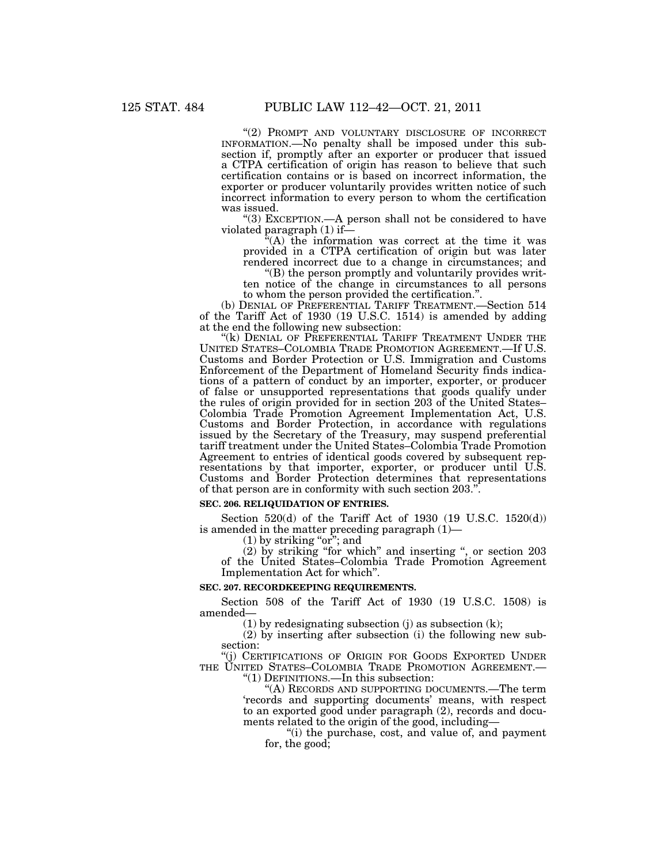"(2) PROMPT AND VOLUNTARY DISCLOSURE OF INCORRECT INFORMATION.—No penalty shall be imposed under this subsection if, promptly after an exporter or producer that issued a CTPA certification of origin has reason to believe that such certification contains or is based on incorrect information, the exporter or producer voluntarily provides written notice of such incorrect information to every person to whom the certification was issued.

''(3) EXCEPTION.—A person shall not be considered to have violated paragraph (1) if—

 $^{x}(A)$  the information was correct at the time it was provided in a CTPA certification of origin but was later rendered incorrect due to a change in circumstances; and

''(B) the person promptly and voluntarily provides written notice of the change in circumstances to all persons to whom the person provided the certification.''.

(b) DENIAL OF PREFERENTIAL TARIFF TREATMENT.—Section 514 of the Tariff Act of 1930 (19 U.S.C. 1514) is amended by adding at the end the following new subsection:

"(k) DENIAL OF PREFERENTIAL TARIFF TREATMENT UNDER THE UNITED STATES–COLOMBIA TRADE PROMOTION AGREEMENT.—If U.S. Customs and Border Protection or U.S. Immigration and Customs Enforcement of the Department of Homeland Security finds indications of a pattern of conduct by an importer, exporter, or producer of false or unsupported representations that goods qualify under the rules of origin provided for in section 203 of the United States– Colombia Trade Promotion Agreement Implementation Act, U.S. Customs and Border Protection, in accordance with regulations issued by the Secretary of the Treasury, may suspend preferential tariff treatment under the United States–Colombia Trade Promotion Agreement to entries of identical goods covered by subsequent representations by that importer, exporter, or producer until U.S. Customs and Border Protection determines that representations of that person are in conformity with such section 203.''.

### **SEC. 206. RELIQUIDATION OF ENTRIES.**

Section 520(d) of the Tariff Act of 1930 (19 U.S.C. 1520(d)) is amended in the matter preceding paragraph (1)—

 $(1)$  by striking "or"; and

(2) by striking ''for which'' and inserting '', or section 203 of the United States–Colombia Trade Promotion Agreement Implementation Act for which''.

### **SEC. 207. RECORDKEEPING REQUIREMENTS.**

Section 508 of the Tariff Act of 1930 (19 U.S.C. 1508) is amended—

(1) by redesignating subsection (j) as subsection  $(k)$ ;

(2) by inserting after subsection (i) the following new subsection:

(j) CERTIFICATIONS OF ORIGIN FOR GOODS EXPORTED UNDER THE UNITED STATES-COLOMBIA TRADE PROMOTION AGREEMENT.

''(1) DEFINITIONS.—In this subsection:

''(A) RECORDS AND SUPPORTING DOCUMENTS.—The term 'records and supporting documents' means, with respect to an exported good under paragraph (2), records and documents related to the origin of the good, including—

"(i) the purchase, cost, and value of, and payment for, the good;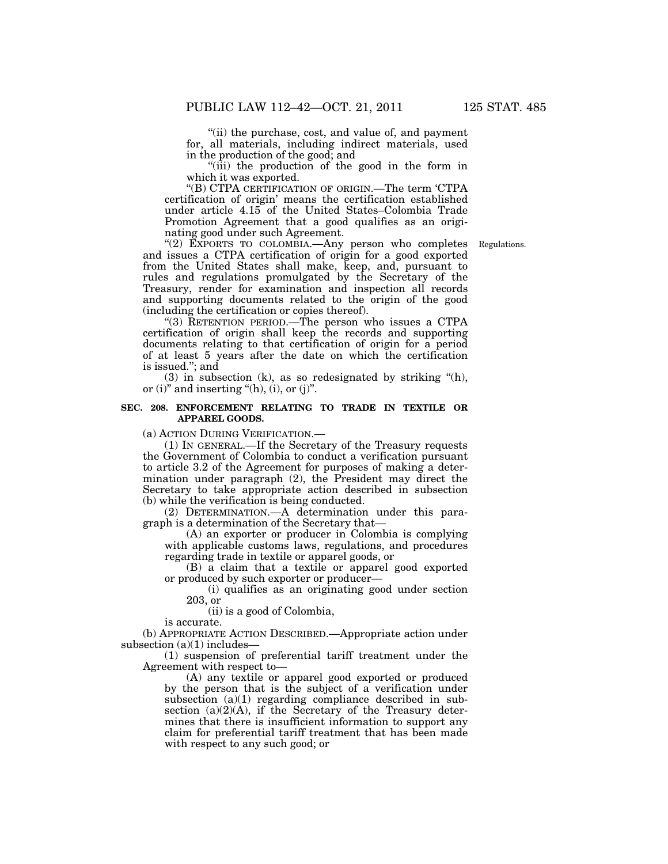"(ii) the purchase, cost, and value of, and payment for, all materials, including indirect materials, used in the production of the good; and

''(iii) the production of the good in the form in which it was exported.

''(B) CTPA CERTIFICATION OF ORIGIN.—The term 'CTPA certification of origin' means the certification established under article 4.15 of the United States–Colombia Trade Promotion Agreement that a good qualifies as an originating good under such Agreement.

Regulations.

"(2) EXPORTS TO COLOMBIA.—Any person who completes and issues a CTPA certification of origin for a good exported from the United States shall make, keep, and, pursuant to rules and regulations promulgated by the Secretary of the Treasury, render for examination and inspection all records and supporting documents related to the origin of the good (including the certification or copies thereof).

''(3) RETENTION PERIOD.—The person who issues a CTPA certification of origin shall keep the records and supporting documents relating to that certification of origin for a period of at least 5 years after the date on which the certification is issued.''; and

 $(3)$  in subsection  $(k)$ , as so redesignated by striking " $(h)$ , or (i)" and inserting " $(h)$ , (i), or (j)".

## **SEC. 208. ENFORCEMENT RELATING TO TRADE IN TEXTILE OR APPAREL GOODS.**

(a) ACTION DURING VERIFICATION.—

(1) IN GENERAL.—If the Secretary of the Treasury requests the Government of Colombia to conduct a verification pursuant to article 3.2 of the Agreement for purposes of making a determination under paragraph (2), the President may direct the Secretary to take appropriate action described in subsection (b) while the verification is being conducted.

(2) DETERMINATION.—A determination under this paragraph is a determination of the Secretary that—

(A) an exporter or producer in Colombia is complying with applicable customs laws, regulations, and procedures regarding trade in textile or apparel goods, or

(B) a claim that a textile or apparel good exported or produced by such exporter or producer—

(i) qualifies as an originating good under section 203, or

(ii) is a good of Colombia,

is accurate.

(b) APPROPRIATE ACTION DESCRIBED.—Appropriate action under subsection  $(a)(1)$  includes-

(1) suspension of preferential tariff treatment under the Agreement with respect to—

(A) any textile or apparel good exported or produced by the person that is the subject of a verification under subsection  $(a)(1)$  regarding compliance described in subsection  $(a)(2)(A)$ , if the Secretary of the Treasury determines that there is insufficient information to support any claim for preferential tariff treatment that has been made with respect to any such good; or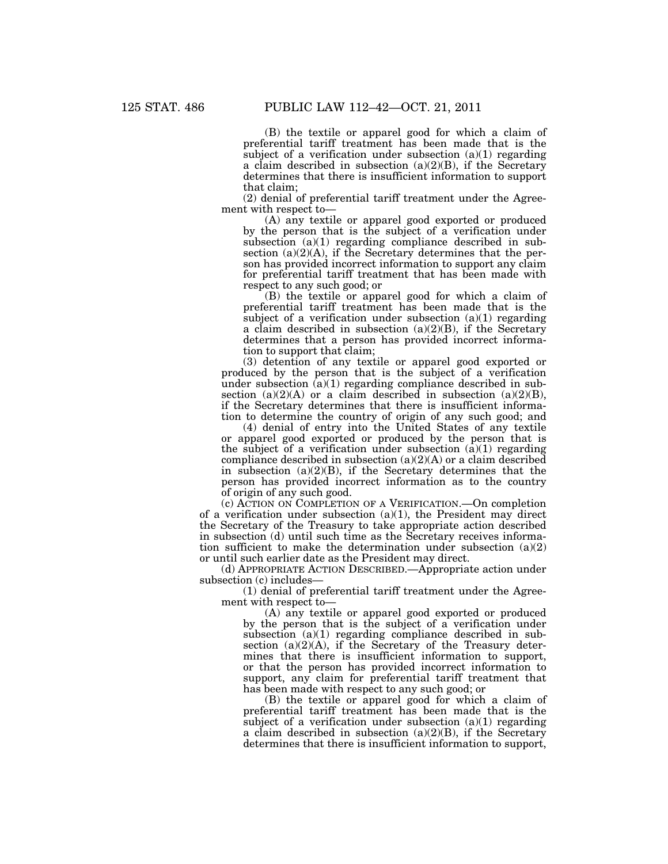(B) the textile or apparel good for which a claim of preferential tariff treatment has been made that is the subject of a verification under subsection  $(a)(1)$  regarding a claim described in subsection (a)(2)(B), if the Secretary determines that there is insufficient information to support that claim;

(2) denial of preferential tariff treatment under the Agreement with respect to—

(A) any textile or apparel good exported or produced by the person that is the subject of a verification under subsection (a)(1) regarding compliance described in subsection  $(a)(2)(A)$ , if the Secretary determines that the person has provided incorrect information to support any claim for preferential tariff treatment that has been made with respect to any such good; or

(B) the textile or apparel good for which a claim of preferential tariff treatment has been made that is the subject of a verification under subsection  $(a)(1)$  regarding a claim described in subsection  $(a)(2)(B)$ , if the Secretary determines that a person has provided incorrect information to support that claim;

(3) detention of any textile or apparel good exported or produced by the person that is the subject of a verification under subsection  $(a)(1)$  regarding compliance described in subsection  $(a)(2)(A)$  or a claim described in subsection  $(a)(2)(B)$ , if the Secretary determines that there is insufficient information to determine the country of origin of any such good; and

(4) denial of entry into the United States of any textile or apparel good exported or produced by the person that is the subject of a verification under subsection  $(a)(1)$  regarding compliance described in subsection  $(a)(2)(A)$  or a claim described in subsection  $(a)(2)(B)$ , if the Secretary determines that the person has provided incorrect information as to the country of origin of any such good.

(c) ACTION ON COMPLETION OF A VERIFICATION.—On completion of a verification under subsection  $(a)(1)$ , the President may direct the Secretary of the Treasury to take appropriate action described in subsection (d) until such time as the Secretary receives information sufficient to make the determination under subsection (a)(2) or until such earlier date as the President may direct.

(d) APPROPRIATE ACTION DESCRIBED.—Appropriate action under subsection (c) includes—

(1) denial of preferential tariff treatment under the Agreement with respect to—

(A) any textile or apparel good exported or produced by the person that is the subject of a verification under subsection (a)(1) regarding compliance described in subsection (a)(2)(A), if the Secretary of the Treasury determines that there is insufficient information to support, or that the person has provided incorrect information to support, any claim for preferential tariff treatment that has been made with respect to any such good; or

(B) the textile or apparel good for which a claim of preferential tariff treatment has been made that is the subject of a verification under subsection  $(a)(1)$  regarding a claim described in subsection  $(a)(2)(B)$ , if the Secretary determines that there is insufficient information to support,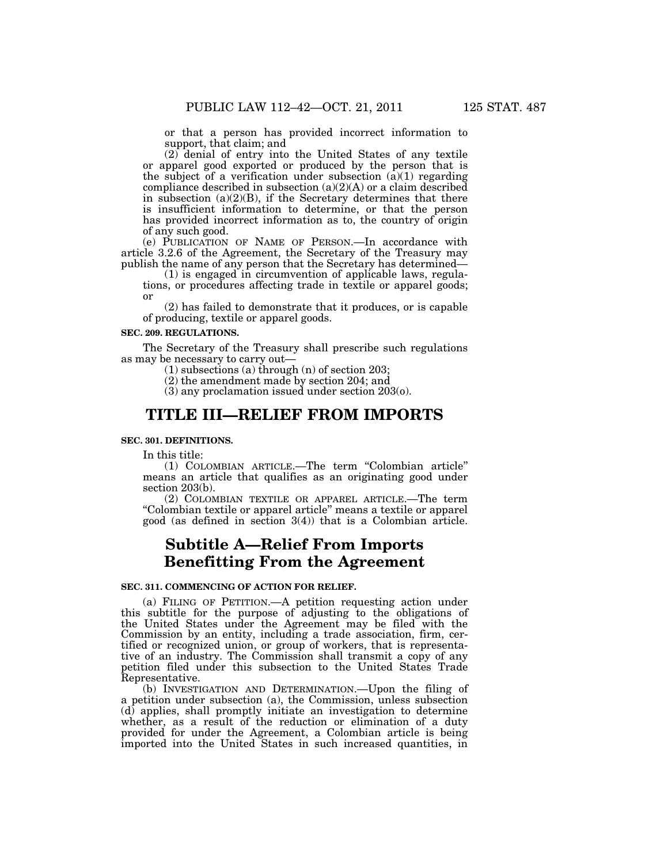or that a person has provided incorrect information to support, that claim; and

(2) denial of entry into the United States of any textile or apparel good exported or produced by the person that is the subject of a verification under subsection  $(\hat{a})(1)$  regarding compliance described in subsection  $(a)(2)(A)$  or a claim described in subsection  $(a)(2)(B)$ , if the Secretary determines that there is insufficient information to determine, or that the person has provided incorrect information as to, the country of origin of any such good.

(e) PUBLICATION OF NAME OF PERSON.—In accordance with article 3.2.6 of the Agreement, the Secretary of the Treasury may publish the name of any person that the Secretary has determined—

(1) is engaged in circumvention of applicable laws, regulations, or procedures affecting trade in textile or apparel goods; or

(2) has failed to demonstrate that it produces, or is capable of producing, textile or apparel goods.

#### **SEC. 209. REGULATIONS.**

The Secretary of the Treasury shall prescribe such regulations as may be necessary to carry out—

(1) subsections (a) through (n) of section 203;

(2) the amendment made by section 204; and

(3) any proclamation issued under section 203(o).

## **TITLE III—RELIEF FROM IMPORTS**

#### **SEC. 301. DEFINITIONS.**

In this title:

(1) COLOMBIAN ARTICLE.—The term ''Colombian article'' means an article that qualifies as an originating good under section 203(b).

(2) COLOMBIAN TEXTILE OR APPAREL ARTICLE.—The term ''Colombian textile or apparel article'' means a textile or apparel good (as defined in section 3(4)) that is a Colombian article.

# **Subtitle A—Relief From Imports Benefitting From the Agreement**

#### **SEC. 311. COMMENCING OF ACTION FOR RELIEF.**

(a) FILING OF PETITION.—A petition requesting action under this subtitle for the purpose of adjusting to the obligations of the United States under the Agreement may be filed with the Commission by an entity, including a trade association, firm, certified or recognized union, or group of workers, that is representative of an industry. The Commission shall transmit a copy of any petition filed under this subsection to the United States Trade Representative.

(b) INVESTIGATION AND DETERMINATION.—Upon the filing of a petition under subsection (a), the Commission, unless subsection (d) applies, shall promptly initiate an investigation to determine whether, as a result of the reduction or elimination of a duty provided for under the Agreement, a Colombian article is being imported into the United States in such increased quantities, in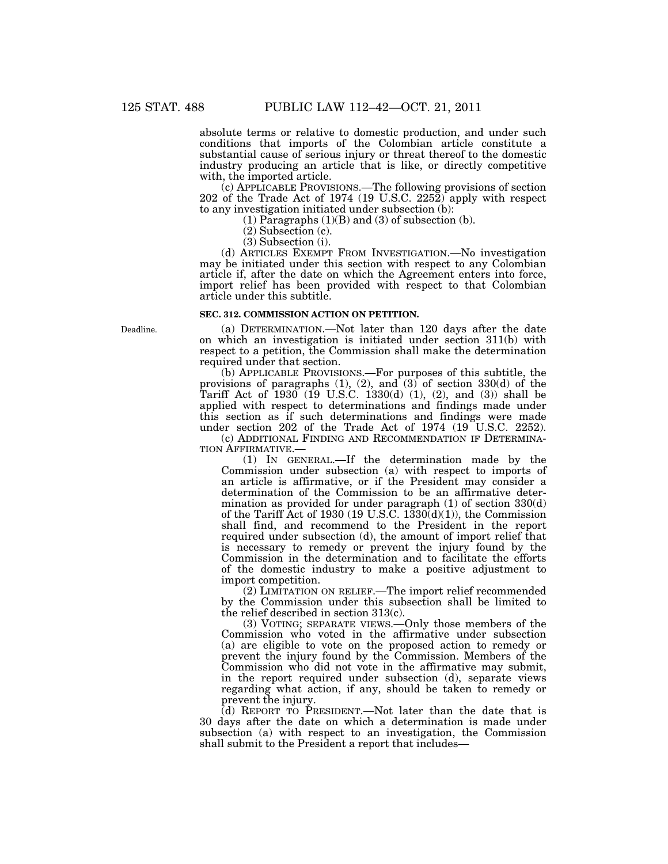absolute terms or relative to domestic production, and under such conditions that imports of the Colombian article constitute a substantial cause of serious injury or threat thereof to the domestic industry producing an article that is like, or directly competitive with, the imported article.

(c) APPLICABLE PROVISIONS.—The following provisions of section 202 of the Trade Act of 1974 (19 U.S.C. 2252) apply with respect to any investigation initiated under subsection (b):

 $(1)$  Paragraphs  $(1)(B)$  and  $(3)$  of subsection  $(b)$ .

(2) Subsection (c).

(3) Subsection (i).

(d) ARTICLES EXEMPT FROM INVESTIGATION.—No investigation may be initiated under this section with respect to any Colombian article if, after the date on which the Agreement enters into force, import relief has been provided with respect to that Colombian article under this subtitle.

#### **SEC. 312. COMMISSION ACTION ON PETITION.**

(a) DETERMINATION.—Not later than 120 days after the date on which an investigation is initiated under section 311(b) with respect to a petition, the Commission shall make the determination required under that section.

(b) APPLICABLE PROVISIONS.—For purposes of this subtitle, the provisions of paragraphs  $(1)$ ,  $(2)$ , and  $(3)$  of section 330(d) of the Tariff Act of  $1930$  (19 U.S.C. 1330(d) (1), (2), and (3)) shall be applied with respect to determinations and findings made under this section as if such determinations and findings were made under section 202 of the Trade Act of 1974 (19 U.S.C. 2252).

(c) ADDITIONAL FINDING AND RECOMMENDATION IF DETERMINA-TION AFFIRMATIVE.

(1) IN GENERAL.—If the determination made by the Commission under subsection (a) with respect to imports of an article is affirmative, or if the President may consider a determination of the Commission to be an affirmative determination as provided for under paragraph (1) of section 330(d) of the Tariff Act of 1930 (19 U.S.C.  $1\overline{3}30\overline{(d)}(1)$ ), the Commission shall find, and recommend to the President in the report required under subsection (d), the amount of import relief that is necessary to remedy or prevent the injury found by the Commission in the determination and to facilitate the efforts of the domestic industry to make a positive adjustment to import competition.

(2) LIMITATION ON RELIEF.—The import relief recommended by the Commission under this subsection shall be limited to the relief described in section 313(c).

(3) VOTING; SEPARATE VIEWS.—Only those members of the Commission who voted in the affirmative under subsection (a) are eligible to vote on the proposed action to remedy or prevent the injury found by the Commission. Members of the Commission who did not vote in the affirmative may submit, in the report required under subsection (d), separate views regarding what action, if any, should be taken to remedy or prevent the injury.

(d) REPORT TO PRESIDENT.—Not later than the date that is 30 days after the date on which a determination is made under subsection (a) with respect to an investigation, the Commission shall submit to the President a report that includes—

Deadline.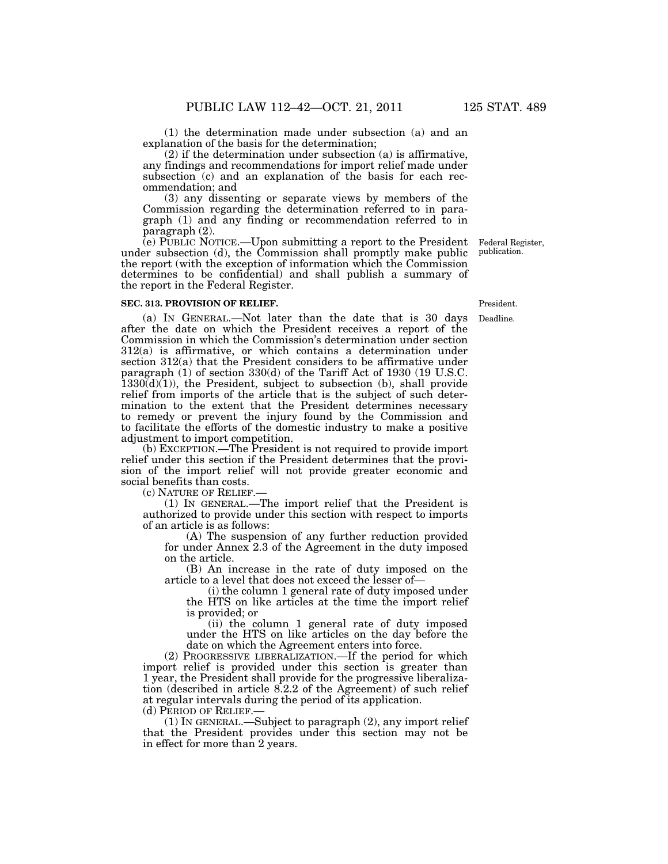(1) the determination made under subsection (a) and an explanation of the basis for the determination;

(2) if the determination under subsection (a) is affirmative, any findings and recommendations for import relief made under subsection (c) and an explanation of the basis for each recommendation; and

(3) any dissenting or separate views by members of the Commission regarding the determination referred to in paragraph (1) and any finding or recommendation referred to in paragraph (2).

(e) PUBLIC NOTICE.—Upon submitting a report to the President under subsection (d), the Commission shall promptly make public the report (with the exception of information which the Commission determines to be confidential) and shall publish a summary of the report in the Federal Register.

#### **SEC. 313. PROVISION OF RELIEF.**

(a) IN GENERAL.—Not later than the date that is 30 days after the date on which the President receives a report of the Commission in which the Commission's determination under section 312(a) is affirmative, or which contains a determination under section 312(a) that the President considers to be affirmative under paragraph (1) of section 330(d) of the Tariff Act of 1930 (19 U.S.C.  $1330(d)(1)$ , the President, subject to subsection (b), shall provide relief from imports of the article that is the subject of such determination to the extent that the President determines necessary to remedy or prevent the injury found by the Commission and to facilitate the efforts of the domestic industry to make a positive adjustment to import competition.

(b) EXCEPTION.—The President is not required to provide import relief under this section if the President determines that the provision of the import relief will not provide greater economic and social benefits than costs.

(c) NATURE OF RELIEF.—

(1) IN GENERAL.—The import relief that the President is authorized to provide under this section with respect to imports of an article is as follows:

(A) The suspension of any further reduction provided for under Annex 2.3 of the Agreement in the duty imposed on the article.

(B) An increase in the rate of duty imposed on the article to a level that does not exceed the lesser of—

(i) the column 1 general rate of duty imposed under the HTS on like articles at the time the import relief is provided; or

(ii) the column 1 general rate of duty imposed under the HTS on like articles on the day before the date on which the Agreement enters into force.

(2) PROGRESSIVE LIBERALIZATION.—If the period for which import relief is provided under this section is greater than 1 year, the President shall provide for the progressive liberalization (described in article 8.2.2 of the Agreement) of such relief at regular intervals during the period of its application.

(d) PERIOD OF RELIEF.—

(1) IN GENERAL.—Subject to paragraph (2), any import relief that the President provides under this section may not be in effect for more than 2 years.

Federal Register, publication.

President.

Deadline.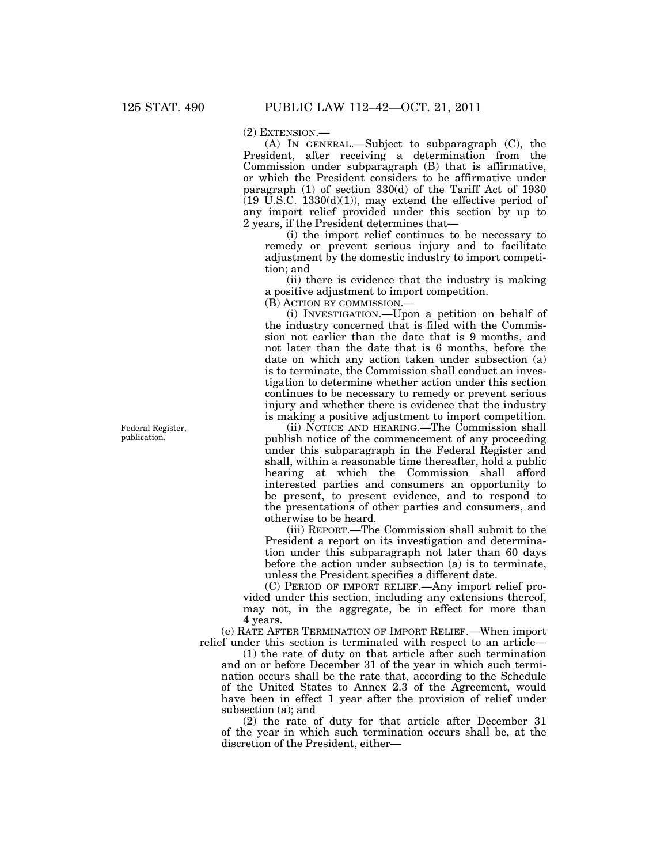(2) EXTENSION.—

(A) IN GENERAL.—Subject to subparagraph (C), the President, after receiving a determination from the Commission under subparagraph (B) that is affirmative, or which the President considers to be affirmative under paragraph (1) of section 330(d) of the Tariff Act of 1930  $(19 \text{ U.S.C. } 1330(\text{d})(1))$ , may extend the effective period of any import relief provided under this section by up to 2 years, if the President determines that—

(i) the import relief continues to be necessary to remedy or prevent serious injury and to facilitate adjustment by the domestic industry to import competition; and

(ii) there is evidence that the industry is making a positive adjustment to import competition.

(B) ACTION BY COMMISSION.—

(i) INVESTIGATION.—Upon a petition on behalf of the industry concerned that is filed with the Commission not earlier than the date that is 9 months, and not later than the date that is 6 months, before the date on which any action taken under subsection (a) is to terminate, the Commission shall conduct an investigation to determine whether action under this section continues to be necessary to remedy or prevent serious injury and whether there is evidence that the industry is making a positive adjustment to import competition.

(ii) NOTICE AND HEARING.—The Commission shall publish notice of the commencement of any proceeding under this subparagraph in the Federal Register and shall, within a reasonable time thereafter, hold a public hearing at which the Commission shall afford interested parties and consumers an opportunity to be present, to present evidence, and to respond to the presentations of other parties and consumers, and otherwise to be heard.

(iii) REPORT.—The Commission shall submit to the President a report on its investigation and determination under this subparagraph not later than 60 days before the action under subsection (a) is to terminate, unless the President specifies a different date.

(C) PERIOD OF IMPORT RELIEF.—Any import relief provided under this section, including any extensions thereof, may not, in the aggregate, be in effect for more than 4 years.

(e) RATE AFTER TERMINATION OF IMPORT RELIEF.—When import relief under this section is terminated with respect to an article—

(1) the rate of duty on that article after such termination and on or before December 31 of the year in which such termination occurs shall be the rate that, according to the Schedule of the United States to Annex 2.3 of the Agreement, would have been in effect 1 year after the provision of relief under subsection (a); and

(2) the rate of duty for that article after December 31 of the year in which such termination occurs shall be, at the discretion of the President, either—

Federal Register, publication.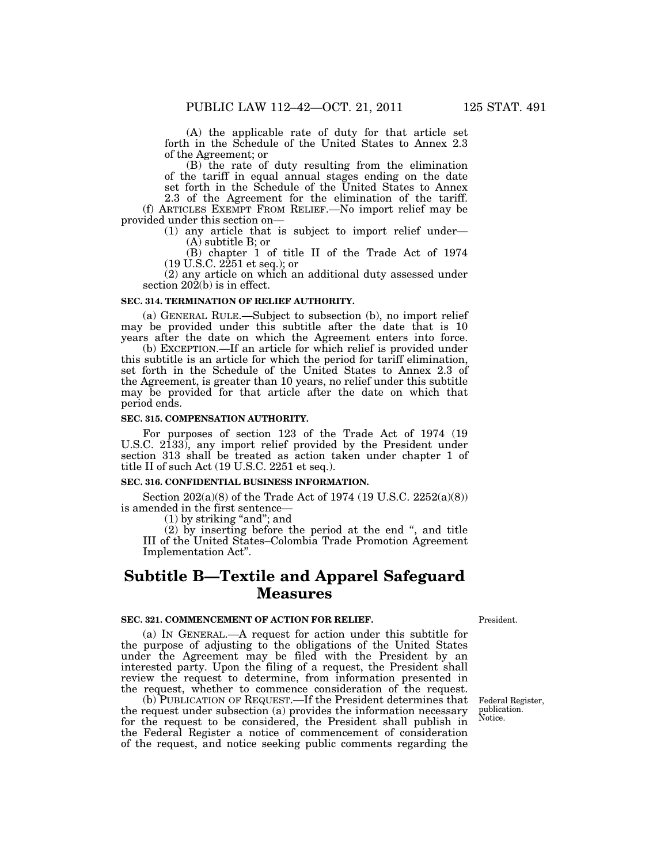(A) the applicable rate of duty for that article set forth in the Schedule of the United States to Annex 2.3 of the Agreement; or

(B) the rate of duty resulting from the elimination of the tariff in equal annual stages ending on the date set forth in the Schedule of the United States to Annex

2.3 of the Agreement for the elimination of the tariff. (f) ARTICLES EXEMPT FROM RELIEF.—No import relief may be provided under this section on—

> (1) any article that is subject to import relief under— (A) subtitle B; or

> (B) chapter 1 of title II of the Trade Act of 1974 (19 U.S.C. 2251 et seq.); or

(2) any article on which an additional duty assessed under section  $20\overline{2}$ (b) is in effect.

#### **SEC. 314. TERMINATION OF RELIEF AUTHORITY.**

(a) GENERAL RULE.—Subject to subsection (b), no import relief may be provided under this subtitle after the date that is 10 years after the date on which the Agreement enters into force.

(b) EXCEPTION.—If an article for which relief is provided under this subtitle is an article for which the period for tariff elimination, set forth in the Schedule of the United States to Annex 2.3 of the Agreement, is greater than 10 years, no relief under this subtitle may be provided for that article after the date on which that period ends.

#### **SEC. 315. COMPENSATION AUTHORITY.**

For purposes of section 123 of the Trade Act of 1974 (19 U.S.C. 2133), any import relief provided by the President under section 313 shall be treated as action taken under chapter 1 of title II of such Act (19 U.S.C. 2251 et seq.).

#### **SEC. 316. CONFIDENTIAL BUSINESS INFORMATION.**

Section 202(a)(8) of the Trade Act of 1974 (19 U.S.C. 2252(a)(8)) is amended in the first sentence—

 $(1)$  by striking "and"; and

(2) by inserting before the period at the end '', and title III of the United States–Colombia Trade Promotion Agreement Implementation Act''.

# **Subtitle B—Textile and Apparel Safeguard Measures**

## **SEC. 321. COMMENCEMENT OF ACTION FOR RELIEF.**

(a) IN GENERAL.—A request for action under this subtitle for the purpose of adjusting to the obligations of the United States under the Agreement may be filed with the President by an interested party. Upon the filing of a request, the President shall review the request to determine, from information presented in the request, whether to commence consideration of the request.

(b) PUBLICATION OF REQUEST.—If the President determines that the request under subsection (a) provides the information necessary for the request to be considered, the President shall publish in the Federal Register a notice of commencement of consideration of the request, and notice seeking public comments regarding the

President.

Federal Register, publication. Notice.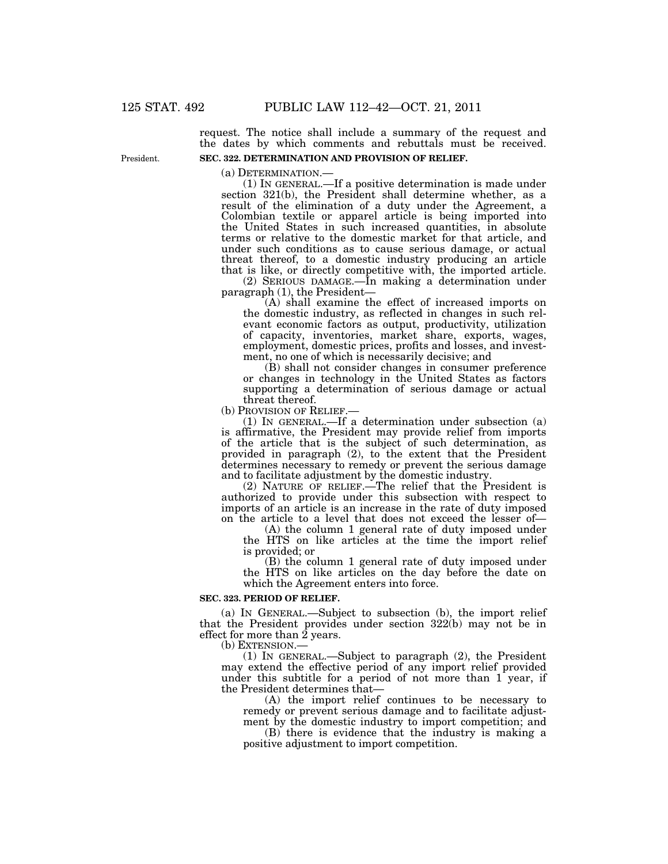request. The notice shall include a summary of the request and the dates by which comments and rebuttals must be received. **SEC. 322. DETERMINATION AND PROVISION OF RELIEF.** 

(a) DETERMINATION.— (1) IN GENERAL.—If a positive determination is made under section 321(b), the President shall determine whether, as a result of the elimination of a duty under the Agreement, a Colombian textile or apparel article is being imported into the United States in such increased quantities, in absolute terms or relative to the domestic market for that article, and under such conditions as to cause serious damage, or actual threat thereof, to a domestic industry producing an article that is like, or directly competitive with, the imported article.

(2) SERIOUS DAMAGE.—In making a determination under paragraph (1), the President—

(A) shall examine the effect of increased imports on the domestic industry, as reflected in changes in such relevant economic factors as output, productivity, utilization of capacity, inventories, market share, exports, wages, employment, domestic prices, profits and losses, and investment, no one of which is necessarily decisive; and

(B) shall not consider changes in consumer preference or changes in technology in the United States as factors supporting a determination of serious damage or actual

threat thereof.<br>(b) Provision of RELIEF.—

(1) IN GENERAL.—If a determination under subsection  $(a)$ is affirmative, the President may provide relief from imports of the article that is the subject of such determination, as provided in paragraph (2), to the extent that the President determines necessary to remedy or prevent the serious damage and to facilitate adjustment by the domestic industry.

(2) NATURE OF RELIEF.—The relief that the President is authorized to provide under this subsection with respect to imports of an article is an increase in the rate of duty imposed on the article to a level that does not exceed the lesser of—

(A) the column 1 general rate of duty imposed under the HTS on like articles at the time the import relief is provided; or

(B) the column 1 general rate of duty imposed under the HTS on like articles on the day before the date on which the Agreement enters into force.

#### **SEC. 323. PERIOD OF RELIEF.**

(a) IN GENERAL.—Subject to subsection (b), the import relief that the President provides under section 322(b) may not be in effect for more than 2 years.

(b) EXTENSION.—

(1) IN GENERAL.—Subject to paragraph (2), the President may extend the effective period of any import relief provided under this subtitle for a period of not more than 1 year, if the President determines that—

(A) the import relief continues to be necessary to remedy or prevent serious damage and to facilitate adjustment by the domestic industry to import competition; and

(B) there is evidence that the industry is making a positive adjustment to import competition.

President.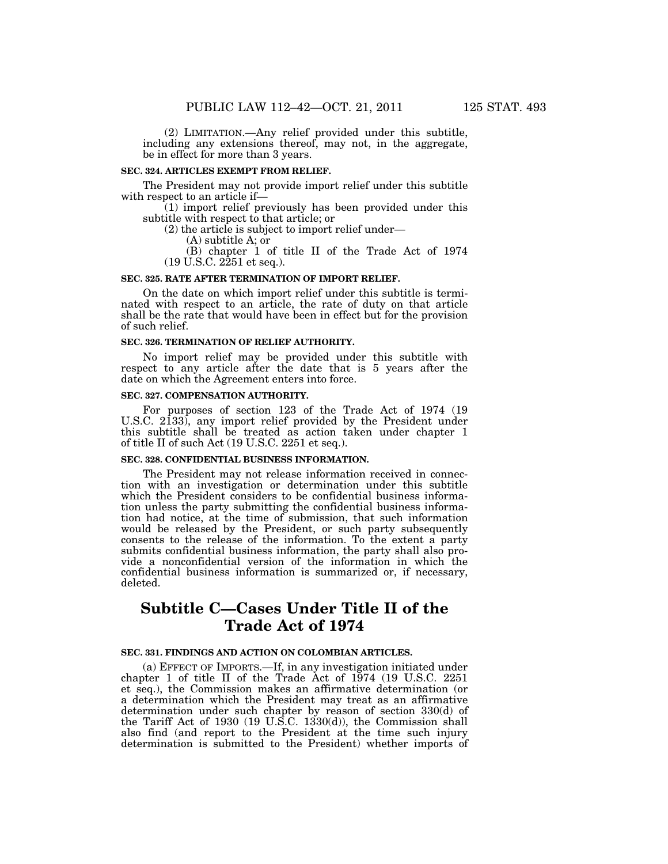(2) LIMITATION.—Any relief provided under this subtitle,

including any extensions thereof, may not, in the aggregate, be in effect for more than 3 years.

#### **SEC. 324. ARTICLES EXEMPT FROM RELIEF.**

The President may not provide import relief under this subtitle with respect to an article if—

(1) import relief previously has been provided under this subtitle with respect to that article; or

(2) the article is subject to import relief under—

(A) subtitle A; or

(B) chapter 1 of title II of the Trade Act of 1974 (19 U.S.C. 2251 et seq.).

### **SEC. 325. RATE AFTER TERMINATION OF IMPORT RELIEF.**

On the date on which import relief under this subtitle is terminated with respect to an article, the rate of duty on that article shall be the rate that would have been in effect but for the provision of such relief.

### **SEC. 326. TERMINATION OF RELIEF AUTHORITY.**

No import relief may be provided under this subtitle with respect to any article after the date that is 5 years after the date on which the Agreement enters into force.

## **SEC. 327. COMPENSATION AUTHORITY.**

For purposes of section 123 of the Trade Act of 1974 (19 U.S.C. 2133), any import relief provided by the President under this subtitle shall be treated as action taken under chapter 1 of title II of such Act (19 U.S.C. 2251 et seq.).

## **SEC. 328. CONFIDENTIAL BUSINESS INFORMATION.**

The President may not release information received in connection with an investigation or determination under this subtitle which the President considers to be confidential business information unless the party submitting the confidential business information had notice, at the time of submission, that such information would be released by the President, or such party subsequently consents to the release of the information. To the extent a party submits confidential business information, the party shall also provide a nonconfidential version of the information in which the confidential business information is summarized or, if necessary, deleted.

# **Subtitle C—Cases Under Title II of the Trade Act of 1974**

#### **SEC. 331. FINDINGS AND ACTION ON COLOMBIAN ARTICLES.**

(a) EFFECT OF IMPORTS.—If, in any investigation initiated under chapter 1 of title II of the Trade Act of 1974 (19 U.S.C. 2251 et seq.), the Commission makes an affirmative determination (or a determination which the President may treat as an affirmative determination under such chapter by reason of section 330(d) of the Tariff Act of 1930 (19 U.S.C. 1330(d)), the Commission shall also find (and report to the President at the time such injury determination is submitted to the President) whether imports of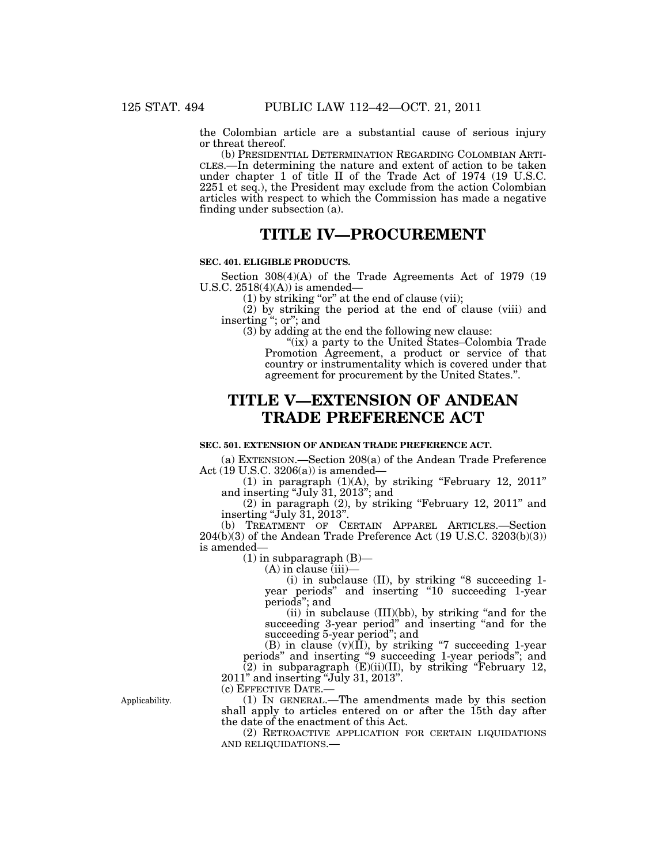the Colombian article are a substantial cause of serious injury or threat thereof.

(b) PRESIDENTIAL DETERMINATION REGARDING COLOMBIAN ARTI-CLES.—In determining the nature and extent of action to be taken under chapter 1 of title II of the Trade Act of 1974 (19 U.S.C. 2251 et seq.), the President may exclude from the action Colombian articles with respect to which the Commission has made a negative finding under subsection (a).

## **TITLE IV—PROCUREMENT**

#### **SEC. 401. ELIGIBLE PRODUCTS.**

Section 308(4)(A) of the Trade Agreements Act of 1979 (19 U.S.C.  $2518(4)(A)$  is amended-

 $(1)$  by striking "or" at the end of clause (vii);

(2) by striking the period at the end of clause (viii) and inserting ''; or''; and

(3) by adding at the end the following new clause:

" $(ix)$  a party to the United States–Colombia Trade Promotion Agreement, a product or service of that country or instrumentality which is covered under that agreement for procurement by the United States.''.

# **TITLE V—EXTENSION OF ANDEAN TRADE PREFERENCE ACT**

#### **SEC. 501. EXTENSION OF ANDEAN TRADE PREFERENCE ACT.**

(a) EXTENSION.—Section 208(a) of the Andean Trade Preference Act (19 U.S.C. 3206(a)) is amended—

 $(1)$  in paragraph  $(1)(A)$ , by striking "February 12, 2011" and inserting "July 31, 2013"; and

(2) in paragraph (2), by striking ''February 12, 2011'' and inserting " $\bar{\text{J}}$ uly  $\bar{3}1, \bar{2}013$ ".

(b) TREATMENT OF CERTAIN APPAREL ARTICLES.—Section  $204(b)(3)$  of the Andean Trade Preference Act  $(19 \text{ U.S.C. } 3203(b)(3))$ is amended—

 $(1)$  in subparagraph  $(B)$ —

(A) in clause (iii)—

(i) in subclause (II), by striking ''8 succeeding 1 year periods" and inserting "10 succeeding 1-year periods''; and

 $(ii)$  in subclause  $(III)(bb)$ , by striking "and for the succeeding 3-year period" and inserting "and for the succeeding 5-year period''; and

(B) in clause  $(v)(\overline{II})$ , by striking "7 succeeding 1-year periods'' and inserting ''9 succeeding 1-year periods''; and  $(2)$  in subparagraph  $(E)(ii)(II)$ , by striking "February 12,

2011'' and inserting ''July 31, 2013''. (c) EFFECTIVE DATE.—

(1) IN GENERAL.—The amendments made by this section shall apply to articles entered on or after the 15th day after the date of the enactment of this Act.

(2) RETROACTIVE APPLICATION FOR CERTAIN LIQUIDATIONS AND RELIQUIDATIONS.—

Applicability.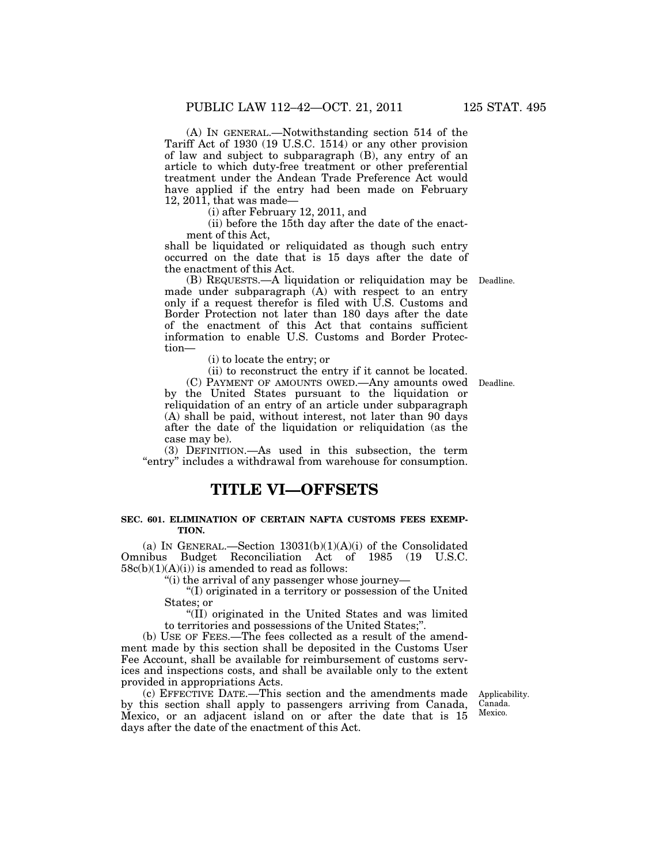(A) IN GENERAL.—Notwithstanding section 514 of the Tariff Act of 1930 (19 U.S.C. 1514) or any other provision of law and subject to subparagraph (B), any entry of an article to which duty-free treatment or other preferential treatment under the Andean Trade Preference Act would have applied if the entry had been made on February 12, 2011, that was made—

(i) after February 12, 2011, and

(ii) before the 15th day after the date of the enactment of this Act,

shall be liquidated or reliquidated as though such entry occurred on the date that is 15 days after the date of the enactment of this Act.

(B) REQUESTS.—A liquidation or reliquidation may be Deadline. made under subparagraph (A) with respect to an entry only if a request therefor is filed with U.S. Customs and Border Protection not later than 180 days after the date of the enactment of this Act that contains sufficient information to enable U.S. Customs and Border Protection—

(i) to locate the entry; or

(ii) to reconstruct the entry if it cannot be located.

(C) PAYMENT OF AMOUNTS OWED.—Any amounts owed Deadline. by the United States pursuant to the liquidation or reliquidation of an entry of an article under subparagraph (A) shall be paid, without interest, not later than 90 days after the date of the liquidation or reliquidation (as the case may be).

(3) DEFINITION.—As used in this subsection, the term "entry" includes a withdrawal from warehouse for consumption.

## **TITLE VI—OFFSETS**

### **SEC. 601. ELIMINATION OF CERTAIN NAFTA CUSTOMS FEES EXEMP-TION.**

(a) IN GENERAL.—Section  $13031(b)(1)(A)(i)$  of the Consolidated Omnibus Budget Reconciliation Act of 1985 (19 U.S.C.  $58c(b)(1)(A)(i)$ ) is amended to read as follows:

''(i) the arrival of any passenger whose journey—

''(I) originated in a territory or possession of the United States; or

''(II) originated in the United States and was limited to territories and possessions of the United States;''.

(b) USE OF FEES.—The fees collected as a result of the amendment made by this section shall be deposited in the Customs User Fee Account, shall be available for reimbursement of customs services and inspections costs, and shall be available only to the extent provided in appropriations Acts.

(c) EFFECTIVE DATE.—This section and the amendments made by this section shall apply to passengers arriving from Canada, Mexico, or an adjacent island on or after the date that is 15 days after the date of the enactment of this Act.

Applicability. Canada. Mexico.